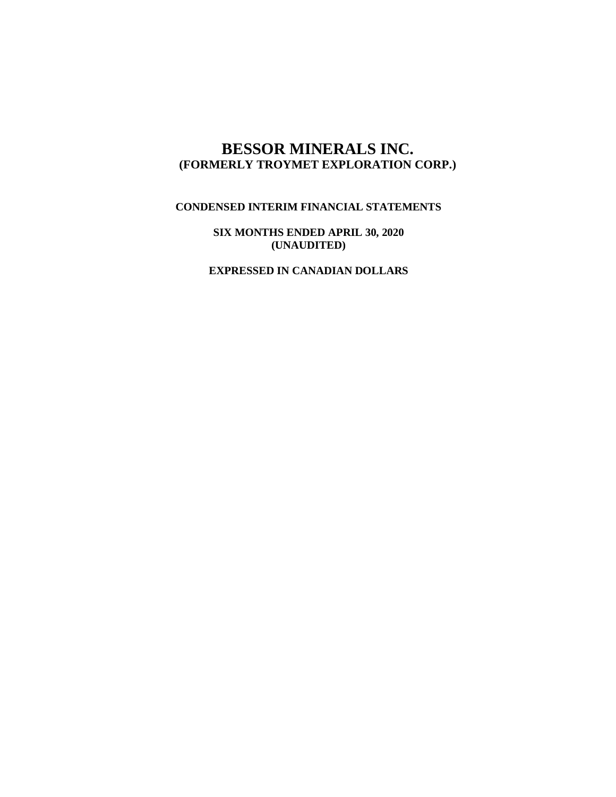# **BESSOR MINERALS INC. (FORMERLY TROYMET EXPLORATION CORP.)**

## **CONDENSED INTERIM FINANCIAL STATEMENTS**

**SIX MONTHS ENDED APRIL 30, 2020 (UNAUDITED)**

**EXPRESSED IN CANADIAN DOLLARS**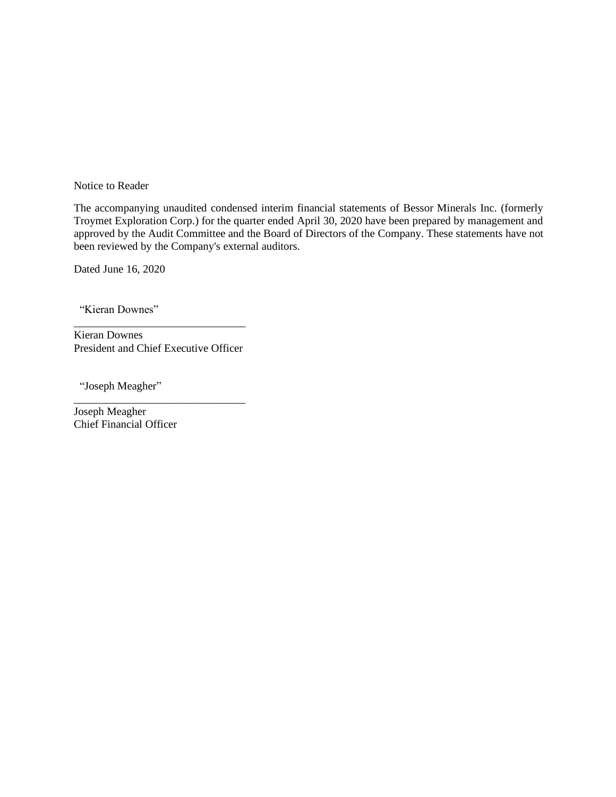Notice to Reader

The accompanying unaudited condensed interim financial statements of Bessor Minerals Inc. (formerly Troymet Exploration Corp.) for the quarter ended April 30, 2020 have been prepared by management and approved by the Audit Committee and the Board of Directors of the Company. These statements have not been reviewed by the Company's external auditors.

Dated June 16, 2020

"Kieran Downes"

\_\_\_\_\_\_\_\_\_\_\_\_\_\_\_\_\_\_\_\_\_\_\_\_\_\_\_\_\_\_\_ Kieran Downes President and Chief Executive Officer

\_\_\_\_\_\_\_\_\_\_\_\_\_\_\_\_\_\_\_\_\_\_\_\_\_\_\_\_\_\_\_

"Joseph Meagher"

Joseph Meagher Chief Financial Officer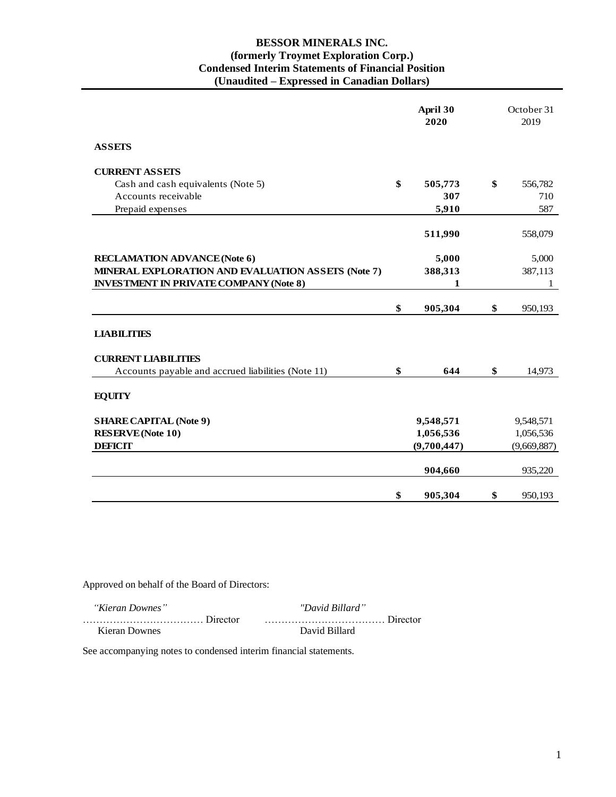### **BESSOR MINERALS INC. (formerly Troymet Exploration Corp.) Condensed Interim Statements of Financial Position (Unaudited – Expressed in Canadian Dollars)**

|                                                    | April 30<br>2020 | October 31<br>2019 |
|----------------------------------------------------|------------------|--------------------|
| <b>ASSETS</b>                                      |                  |                    |
| <b>CURRENT ASSETS</b>                              |                  |                    |
| Cash and cash equivalents (Note 5)                 | \$<br>505,773    | \$<br>556,782      |
| Accounts receivable                                | 307              | 710                |
| Prepaid expenses                                   | 5,910            | 587                |
|                                                    | 511,990          | 558,079            |
| <b>RECLAMATION ADVANCE (Note 6)</b>                | 5,000            | 5,000              |
| MINERAL EXPLORATION AND EVALUATION ASSETS (Note 7) | 388,313          | 387,113            |
| <b>INVESTMENT IN PRIVATE COMPANY (Note 8)</b>      | $\mathbf{1}$     | 1                  |
|                                                    |                  |                    |
|                                                    | \$<br>905,304    | \$<br>950,193      |
| <b>LIABILITIES</b>                                 |                  |                    |
| <b>CURRENT LIABILITIES</b>                         |                  |                    |
| Accounts payable and accrued liabilities (Note 11) | \$<br>644        | \$<br>14,973       |
| <b>EQUITY</b>                                      |                  |                    |
| <b>SHARE CAPITAL (Note 9)</b>                      | 9,548,571        | 9,548,571          |
| <b>RESERVE</b> (Note 10)                           | 1,056,536        | 1,056,536          |
| <b>DEFICIT</b>                                     | (9,700,447)      | (9,669,887)        |
|                                                    | 904,660          | 935,220            |
|                                                    | \$<br>905,304    | \$<br>950,193      |

Approved on behalf of the Board of Directors:

| "Kieran Downes" | "David Billard" |
|-----------------|-----------------|
|                 |                 |
| Kieran Downes   | David Billard   |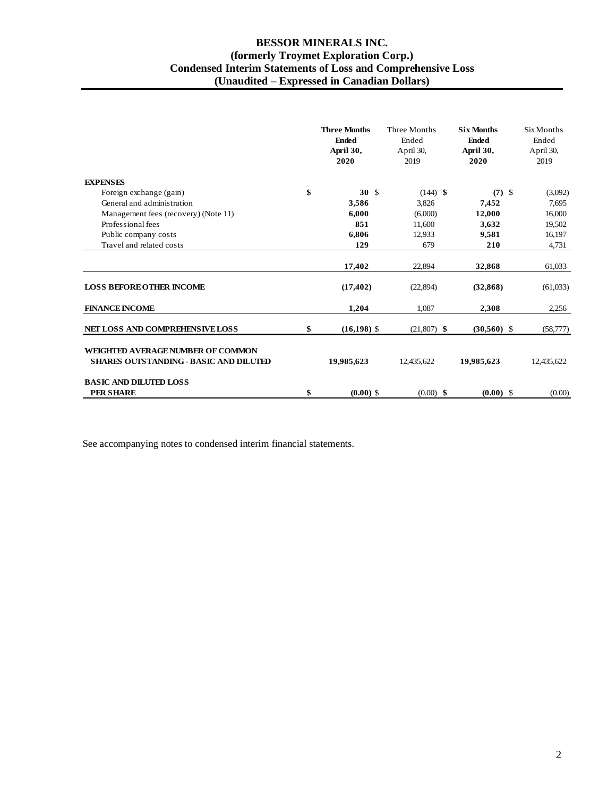### **BESSOR MINERALS INC. (formerly Troymet Exploration Corp.) Condensed Interim Statements of Loss and Comprehensive Loss (Unaudited – Expressed in Canadian Dollars)**

|                                                                                    | <b>Three Months</b><br><b>Ended</b><br>April 30,<br>2020 | Three Months<br>Ended<br>April 30,<br>2019 | <b>Six Months</b><br><b>Ended</b><br>April 30,<br>2020 | Six Months<br>Ended<br>April 30,<br>2019 |
|------------------------------------------------------------------------------------|----------------------------------------------------------|--------------------------------------------|--------------------------------------------------------|------------------------------------------|
| <b>EXPENSES</b>                                                                    |                                                          |                                            |                                                        |                                          |
| Foreign exchange (gain)                                                            | \$<br>30 <sup>5</sup>                                    | $(144)$ \$                                 | $(7)$ \$                                               | (3,092)                                  |
| General and administration                                                         | 3,586                                                    | 3,826                                      | 7,452                                                  | 7,695                                    |
| Management fees (recovery) (Note 11)                                               | 6,000                                                    | (6,000)                                    | 12,000                                                 | 16,000                                   |
| Professional fees                                                                  | 851                                                      | 11,600                                     | 3,632                                                  | 19,502                                   |
| Public company costs                                                               | 6.806                                                    | 12,933                                     | 9,581                                                  | 16,197                                   |
| Travel and related costs                                                           | 129                                                      | 679                                        | 210                                                    | 4,731                                    |
|                                                                                    | 17,402                                                   | 22,894                                     | 32,868                                                 | 61,033                                   |
| <b>LOSS BEFORE OTHER INCOME</b>                                                    | (17, 402)                                                | (22, 894)                                  | (32, 868)                                              | (61,033)                                 |
| <b>FINANCE INCOME</b>                                                              | 1,204                                                    | 1,087                                      | 2,308                                                  | 2,256                                    |
| NET LOSS AND COMPREHENSIVE LOSS                                                    | \$<br>$(16, 198)$ \$                                     | $(21,807)$ \$                              | $(30,560)$ \$                                          | (58, 777)                                |
| WEIGHTED AVERAGE NUMBER OF COMMON<br><b>SHARES OUTSTANDING - BASIC AND DILUTED</b> | 19,985,623                                               | 12,435,622                                 | 19,985,623                                             | 12,435,622                               |
| <b>BASIC AND DILUTED LOSS</b><br><b>PER SHARE</b>                                  | \$<br>$(0.00)$ \$                                        | $(0.00)$ \$                                | $(0.00)$ \$                                            | (0.00)                                   |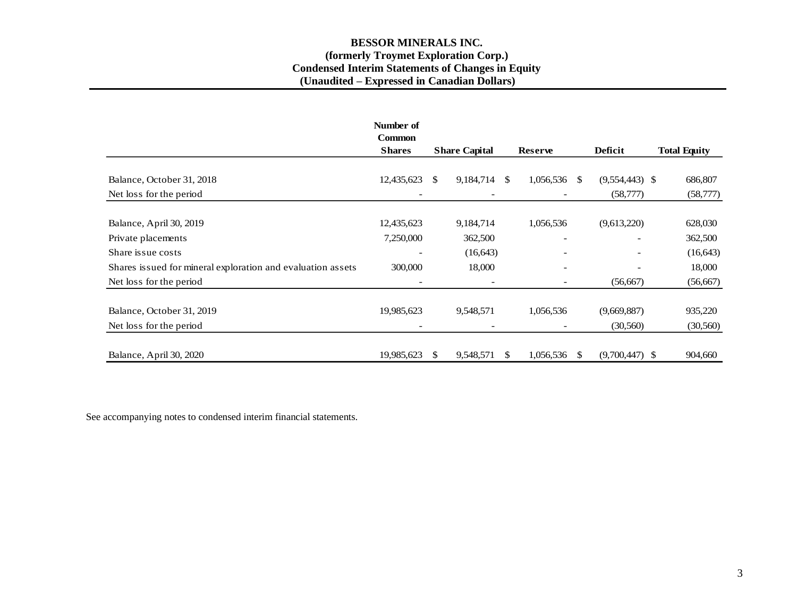### **BESSOR MINERALS INC. (formerly Troymet Exploration Corp.) Condensed Interim Statements of Changes in Equity (Unaudited – Expressed in Canadian Dollars)**

|                                                             | Number of<br><b>Common</b> |               |                          |                |                              |         |                  |                     |
|-------------------------------------------------------------|----------------------------|---------------|--------------------------|----------------|------------------------------|---------|------------------|---------------------|
|                                                             | <b>Shares</b>              |               | <b>Share Capital</b>     | <b>Reserve</b> |                              | Deficit |                  | <b>Total Equity</b> |
|                                                             |                            |               |                          |                |                              |         |                  |                     |
| Balance, October 31, 2018                                   | 12,435,623                 | <sup>\$</sup> | 9,184,714                | <sup>\$</sup>  | 1,056,536                    | -S      | $(9,554,443)$ \$ | 686,807             |
| Net loss for the period                                     |                            |               | $\overline{\phantom{a}}$ |                |                              |         | (58, 777)        | (58, 777)           |
|                                                             |                            |               |                          |                |                              |         |                  |                     |
| Balance, April 30, 2019                                     | 12,435,623                 |               | 9,184,714                |                | 1,056,536                    |         | (9,613,220)      | 628,030             |
| Private placements                                          | 7,250,000                  |               | 362,500                  |                | $\overline{\phantom{a}}$     |         |                  | 362,500             |
| Share issue costs                                           |                            |               | (16, 643)                |                |                              |         |                  | (16, 643)           |
| Shares issued for mineral exploration and evaluation assets | 300,000                    |               | 18,000                   |                | $\overline{\phantom{a}}$     |         |                  | 18,000              |
| Net loss for the period                                     | $\overline{\phantom{a}}$   |               | $\overline{\phantom{a}}$ |                | $\qquad \qquad \blacksquare$ |         | (56, 667)        | (56, 667)           |
| Balance, October 31, 2019                                   | 19,985,623                 |               | 9,548,571                |                | 1,056,536                    |         | (9,669,887)      | 935,220             |
| Net loss for the period                                     |                            |               | $\overline{\phantom{a}}$ |                |                              |         | (30, 560)        | (30, 560)           |
| Balance, April 30, 2020                                     | 19,985,623                 | S             | 9,548,571                | \$.            | 1,056,536                    | S       | $(9,700,447)$ \$ | 904,660             |
|                                                             |                            |               |                          |                |                              |         |                  |                     |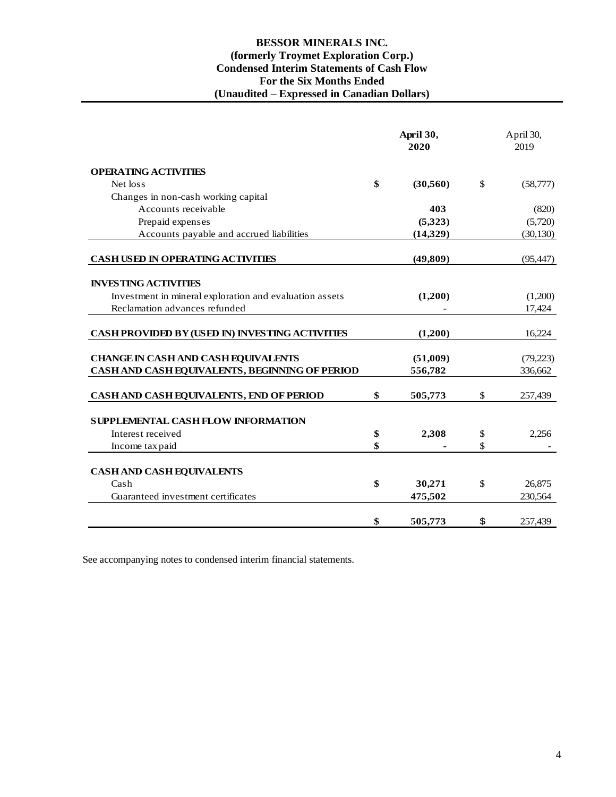### **BESSOR MINERALS INC. (formerly Troymet Exploration Corp.) Condensed Interim Statements of Cash Flow For the Six Months Ended (Unaudited – Expressed in Canadian Dollars)**

|                                                         | April 30,<br>2020 |              | April 30,<br>2019 |
|---------------------------------------------------------|-------------------|--------------|-------------------|
| <b>OPERATING ACTIVITIES</b>                             |                   |              |                   |
| Net loss                                                | \$<br>(30, 560)   | $\mathbb{S}$ | (58, 777)         |
| Changes in non-cash working capital                     |                   |              |                   |
| Accounts receivable                                     | 403               |              | (820)             |
| Prepaid expenses                                        | (5,323)           |              | (5,720)           |
| Accounts payable and accrued liabilities                | (14, 329)         |              | (30, 130)         |
| <b>CASH USED IN OPERATING ACTIVITIES</b>                | (49, 809)         |              | (95, 447)         |
| <b>INVESTING ACTIVITIES</b>                             |                   |              |                   |
| Investment in mineral exploration and evaluation assets | (1,200)           |              | (1,200)           |
| Reclamation advances refunded                           |                   |              | 17,424            |
| CASH PROVIDED BY (USED IN) INVESTING ACTIVITIES         | (1,200)           |              | 16,224            |
| <b>CHANGE IN CASH AND CASH EQUIVALENTS</b>              | (51,009)          |              | (79,223)          |
| CASH AND CASH EQUIVALENTS, BEGINNING OF PERIOD          | 556,782           |              | 336,662           |
| CASH AND CASH EQUIVALENTS, END OF PERIOD                | \$<br>505,773     | \$           | 257,439           |
| <b>SUPPLEMENTAL CASH FLOW INFORMATION</b>               |                   |              |                   |
| Interest received                                       | \$<br>2,308       | \$           | 2,256             |
| Income tax paid                                         | \$                | \$           |                   |
| <b>CASH AND CASH EQUIVALENTS</b>                        |                   |              |                   |
| Cash                                                    | \$<br>30,271      | \$           | 26,875            |
| Guaranteed investment certificates                      | 475,502           |              | 230,564           |
|                                                         | \$<br>505,773     | \$           | 257,439           |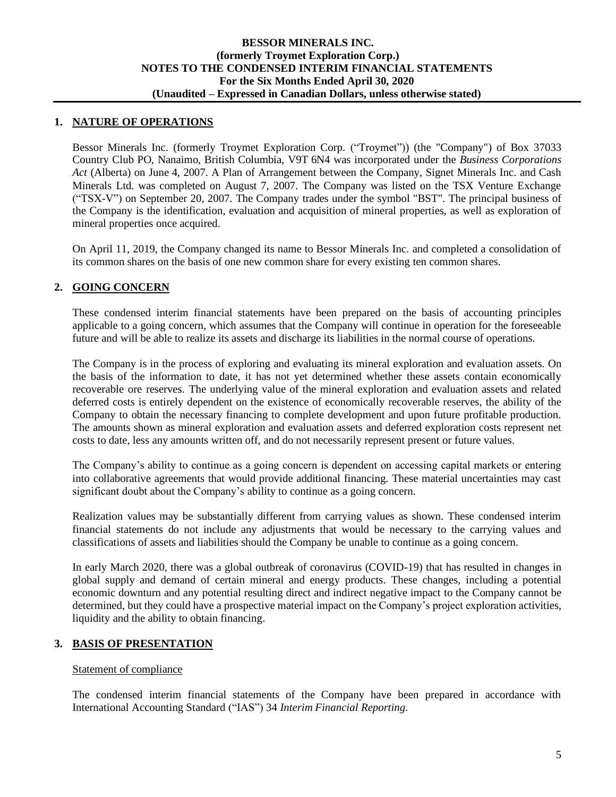### **1. NATURE OF OPERATIONS**

Bessor Minerals Inc. (formerly Troymet Exploration Corp. ("Troymet")) (the "Company") of Box 37033 Country Club PO, Nanaimo, British Columbia, V9T 6N4 was incorporated under the *Business Corporations Act* (Alberta) on June 4, 2007. A Plan of Arrangement between the Company, Signet Minerals Inc. and Cash Minerals Ltd. was completed on August 7, 2007. The Company was listed on the TSX Venture Exchange ("TSX-V") on September 20, 2007. The Company trades under the symbol "BST". The principal business of the Company is the identification, evaluation and acquisition of mineral properties, as well as exploration of mineral properties once acquired.

On April 11, 2019, the Company changed its name to Bessor Minerals Inc. and completed a consolidation of its common shares on the basis of one new common share for every existing ten common shares.

### **2. GOING CONCERN**

These condensed interim financial statements have been prepared on the basis of accounting principles applicable to a going concern, which assumes that the Company will continue in operation for the foreseeable future and will be able to realize its assets and discharge its liabilities in the normal course of operations.

The Company is in the process of exploring and evaluating its mineral exploration and evaluation assets. On the basis of the information to date, it has not yet determined whether these assets contain economically recoverable ore reserves. The underlying value of the mineral exploration and evaluation assets and related deferred costs is entirely dependent on the existence of economically recoverable reserves, the ability of the Company to obtain the necessary financing to complete development and upon future profitable production. The amounts shown as mineral exploration and evaluation assets and deferred exploration costs represent net costs to date, less any amounts written off, and do not necessarily represent present or future values.

The Company's ability to continue as a going concern is dependent on accessing capital markets or entering into collaborative agreements that would provide additional financing. These material uncertainties may cast significant doubt about the Company's ability to continue as a going concern.

Realization values may be substantially different from carrying values as shown. These condensed interim financial statements do not include any adjustments that would be necessary to the carrying values and classifications of assets and liabilities should the Company be unable to continue as a going concern.

In early March 2020, there was a global outbreak of coronavirus (COVID-19) that has resulted in changes in global supply and demand of certain mineral and energy products. These changes, including a potential economic downturn and any potential resulting direct and indirect negative impact to the Company cannot be determined, but they could have a prospective material impact on the Company's project exploration activities, liquidity and the ability to obtain financing.

### **3. BASIS OF PRESENTATION**

### Statement of compliance

The condensed interim financial statements of the Company have been prepared in accordance with International Accounting Standard ("IAS") 34 *Interim Financial Reporting*.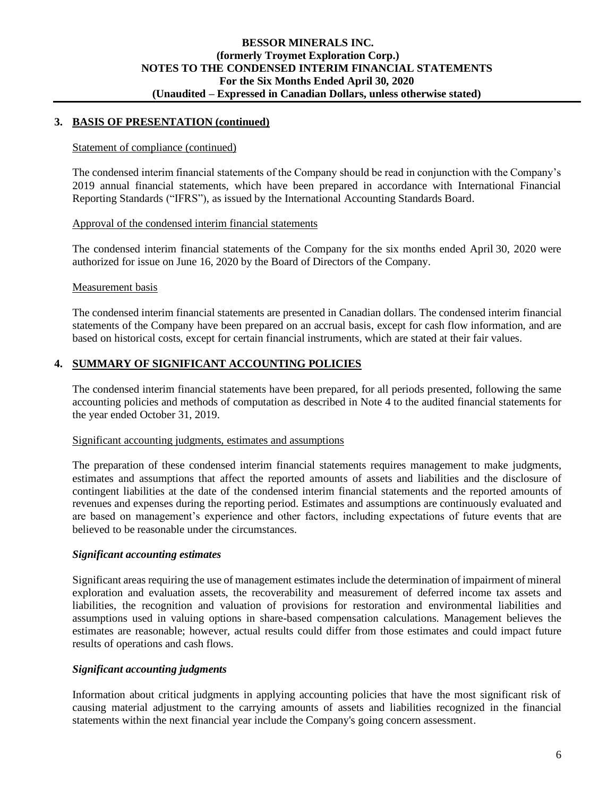### **3. BASIS OF PRESENTATION (continued)**

#### Statement of compliance (continued)

The condensed interim financial statements of the Company should be read in conjunction with the Company's 2019 annual financial statements, which have been prepared in accordance with International Financial Reporting Standards ("IFRS"), as issued by the International Accounting Standards Board.

### Approval of the condensed interim financial statements

The condensed interim financial statements of the Company for the six months ended April 30, 2020 were authorized for issue on June 16, 2020 by the Board of Directors of the Company.

#### Measurement basis

The condensed interim financial statements are presented in Canadian dollars. The condensed interim financial statements of the Company have been prepared on an accrual basis, except for cash flow information, and are based on historical costs, except for certain financial instruments, which are stated at their fair values.

### **4. SUMMARY OF SIGNIFICANT ACCOUNTING POLICIES**

The condensed interim financial statements have been prepared, for all periods presented, following the same accounting policies and methods of computation as described in Note 4 to the audited financial statements for the year ended October 31, 2019.

#### Significant accounting judgments, estimates and assumptions

The preparation of these condensed interim financial statements requires management to make judgments, estimates and assumptions that affect the reported amounts of assets and liabilities and the disclosure of contingent liabilities at the date of the condensed interim financial statements and the reported amounts of revenues and expenses during the reporting period. Estimates and assumptions are continuously evaluated and are based on management's experience and other factors, including expectations of future events that are believed to be reasonable under the circumstances.

### *Significant accounting estimates*

Significant areas requiring the use of management estimates include the determination of impairment of mineral exploration and evaluation assets, the recoverability and measurement of deferred income tax assets and liabilities, the recognition and valuation of provisions for restoration and environmental liabilities and assumptions used in valuing options in share-based compensation calculations. Management believes the estimates are reasonable; however, actual results could differ from those estimates and could impact future results of operations and cash flows.

### *Significant accounting judgments*

Information about critical judgments in applying accounting policies that have the most significant risk of causing material adjustment to the carrying amounts of assets and liabilities recognized in the financial statements within the next financial year include the Company's going concern assessment.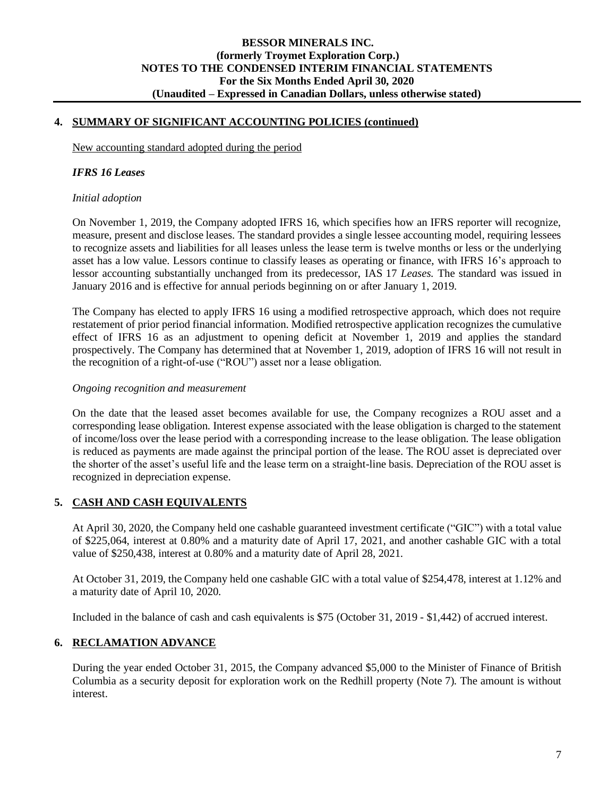### **4. SUMMARY OF SIGNIFICANT ACCOUNTING POLICIES (continued)**

New accounting standard adopted during the period

#### *IFRS 16 Leases*

#### *Initial adoption*

On November 1, 2019, the Company adopted IFRS 16, which specifies how an IFRS reporter will recognize, measure, present and disclose leases. The standard provides a single lessee accounting model, requiring lessees to recognize assets and liabilities for all leases unless the lease term is twelve months or less or the underlying asset has a low value. Lessors continue to classify leases as operating or finance, with IFRS 16's approach to lessor accounting substantially unchanged from its predecessor, IAS 17 *Leases*. The standard was issued in January 2016 and is effective for annual periods beginning on or after January 1, 2019.

The Company has elected to apply IFRS 16 using a modified retrospective approach, which does not require restatement of prior period financial information. Modified retrospective application recognizes the cumulative effect of IFRS 16 as an adjustment to opening deficit at November 1, 2019 and applies the standard prospectively. The Company has determined that at November 1, 2019, adoption of IFRS 16 will not result in the recognition of a right-of-use ("ROU") asset nor a lease obligation.

### *Ongoing recognition and measurement*

On the date that the leased asset becomes available for use, the Company recognizes a ROU asset and a corresponding lease obligation. Interest expense associated with the lease obligation is charged to the statement of income/loss over the lease period with a corresponding increase to the lease obligation. The lease obligation is reduced as payments are made against the principal portion of the lease. The ROU asset is depreciated over the shorter of the asset's useful life and the lease term on a straight-line basis. Depreciation of the ROU asset is recognized in depreciation expense.

### **5. CASH AND CASH EQUIVALENTS**

At April 30, 2020, the Company held one cashable guaranteed investment certificate ("GIC") with a total value of \$225,064, interest at 0.80% and a maturity date of April 17, 2021, and another cashable GIC with a total value of \$250,438, interest at 0.80% and a maturity date of April 28, 2021.

At October 31, 2019, the Company held one cashable GIC with a total value of \$254,478, interest at 1.12% and a maturity date of April 10, 2020.

Included in the balance of cash and cash equivalents is \$75 (October 31, 2019 - \$1,442) of accrued interest.

### **6. RECLAMATION ADVANCE**

During the year ended October 31, 2015, the Company advanced \$5,000 to the Minister of Finance of British Columbia as a security deposit for exploration work on the Redhill property (Note 7). The amount is without interest.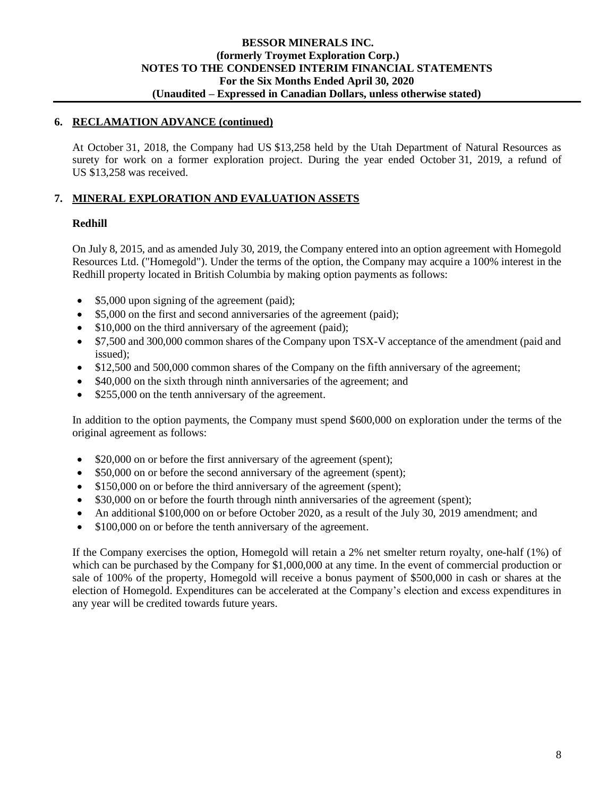### **6. RECLAMATION ADVANCE (continued)**

At October 31, 2018, the Company had US \$13,258 held by the Utah Department of Natural Resources as surety for work on a former exploration project. During the year ended October 31, 2019, a refund of US \$13,258 was received.

### **7. MINERAL EXPLORATION AND EVALUATION ASSETS**

### **Redhill**

On July 8, 2015, and as amended July 30, 2019, the Company entered into an option agreement with Homegold Resources Ltd. ("Homegold"). Under the terms of the option, the Company may acquire a 100% interest in the Redhill property located in British Columbia by making option payments as follows:

- \$5,000 upon signing of the agreement (paid);
- \$5,000 on the first and second anniversaries of the agreement (paid);
- \$10,000 on the third anniversary of the agreement (paid);
- \$7,500 and 300,000 common shares of the Company upon TSX-V acceptance of the amendment (paid and issued);
- \$12,500 and 500,000 common shares of the Company on the fifth anniversary of the agreement;
- \$40,000 on the sixth through ninth anniversaries of the agreement; and
- \$255,000 on the tenth anniversary of the agreement.

In addition to the option payments, the Company must spend \$600,000 on exploration under the terms of the original agreement as follows:

- \$20,000 on or before the first anniversary of the agreement (spent);
- \$50,000 on or before the second anniversary of the agreement (spent);
- \$150,000 on or before the third anniversary of the agreement (spent);
- \$30,000 on or before the fourth through ninth anniversaries of the agreement (spent);
- An additional \$100,000 on or before October 2020, as a result of the July 30, 2019 amendment; and
- \$100,000 on or before the tenth anniversary of the agreement.

If the Company exercises the option, Homegold will retain a 2% net smelter return royalty, one-half (1%) of which can be purchased by the Company for \$1,000,000 at any time. In the event of commercial production or sale of 100% of the property, Homegold will receive a bonus payment of \$500,000 in cash or shares at the election of Homegold. Expenditures can be accelerated at the Company's election and excess expenditures in any year will be credited towards future years.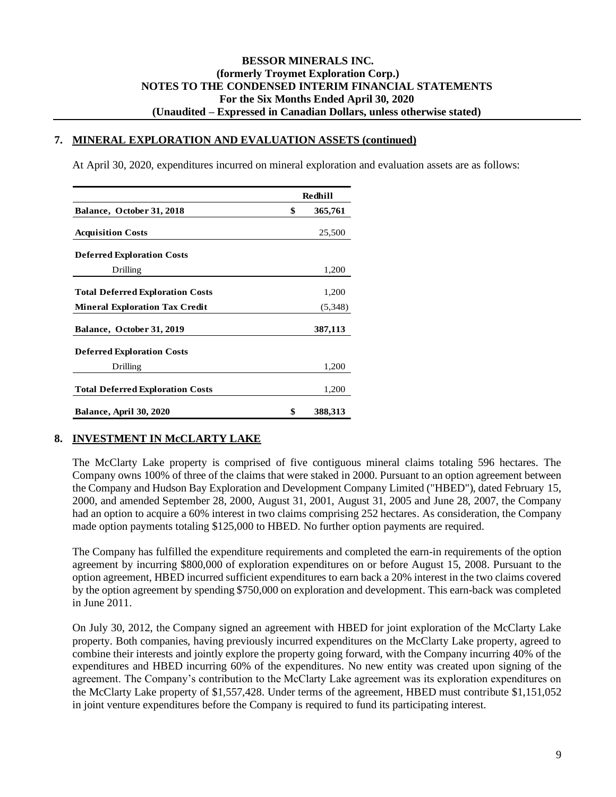#### **7. MINERAL EXPLORATION AND EVALUATION ASSETS (continued)**

At April 30, 2020, expenditures incurred on mineral exploration and evaluation assets are as follows:

|                                         | Redhill       |
|-----------------------------------------|---------------|
| Balance, October 31, 2018               | \$<br>365,761 |
| <b>Acquisition Costs</b>                | 25,500        |
| <b>Deferred Exploration Costs</b>       |               |
| Drilling                                | 1,200         |
| <b>Total Deferred Exploration Costs</b> | 1,200         |
| <b>Mineral Exploration Tax Credit</b>   | (5,348)       |
| Balance, October 31, 2019               | 387,113       |
| <b>Deferred Exploration Costs</b>       |               |
| Drilling                                | 1,200         |
| <b>Total Deferred Exploration Costs</b> | 1,200         |
| <b>Balance, April 30, 2020</b>          | \$<br>388,313 |

### **8. INVESTMENT IN McCLARTY LAKE**

The McClarty Lake property is comprised of five contiguous mineral claims totaling 596 hectares. The Company owns 100% of three of the claims that were staked in 2000. Pursuant to an option agreement between the Company and Hudson Bay Exploration and Development Company Limited ("HBED"), dated February 15, 2000, and amended September 28, 2000, August 31, 2001, August 31, 2005 and June 28, 2007, the Company had an option to acquire a 60% interest in two claims comprising 252 hectares. As consideration, the Company made option payments totaling \$125,000 to HBED. No further option payments are required.

The Company has fulfilled the expenditure requirements and completed the earn-in requirements of the option agreement by incurring \$800,000 of exploration expenditures on or before August 15, 2008. Pursuant to the option agreement, HBED incurred sufficient expenditures to earn back a 20% interest in the two claims covered by the option agreement by spending \$750,000 on exploration and development. This earn-back was completed in June 2011.

On July 30, 2012, the Company signed an agreement with HBED for joint exploration of the McClarty Lake property. Both companies, having previously incurred expenditures on the McClarty Lake property, agreed to combine their interests and jointly explore the property going forward, with the Company incurring 40% of the expenditures and HBED incurring 60% of the expenditures. No new entity was created upon signing of the agreement. The Company's contribution to the McClarty Lake agreement was its exploration expenditures on the McClarty Lake property of \$1,557,428. Under terms of the agreement, HBED must contribute \$1,151,052 in joint venture expenditures before the Company is required to fund its participating interest.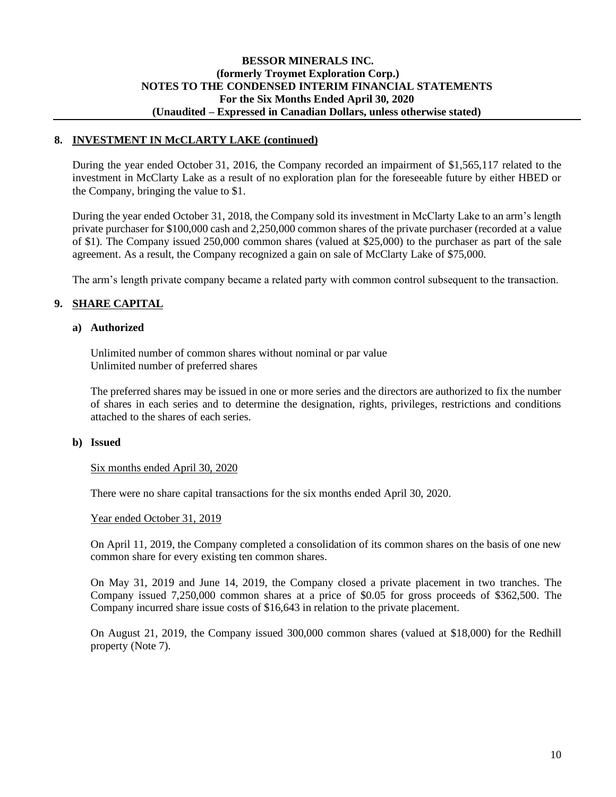### **BESSOR MINERALS INC. (formerly Troymet Exploration Corp.) NOTES TO THE CONDENSED INTERIM FINANCIAL STATEMENTS For the Six Months Ended April 30, 2020 (Unaudited – Expressed in Canadian Dollars, unless otherwise stated)**

### **8. INVESTMENT IN McCLARTY LAKE (continued)**

During the year ended October 31, 2016, the Company recorded an impairment of \$1,565,117 related to the investment in McClarty Lake as a result of no exploration plan for the foreseeable future by either HBED or the Company, bringing the value to \$1.

During the year ended October 31, 2018, the Company sold its investment in McClarty Lake to an arm's length private purchaser for \$100,000 cash and 2,250,000 common shares of the private purchaser (recorded at a value of \$1). The Company issued 250,000 common shares (valued at \$25,000) to the purchaser as part of the sale agreement. As a result, the Company recognized a gain on sale of McClarty Lake of \$75,000.

The arm's length private company became a related party with common control subsequent to the transaction.

### **9. SHARE CAPITAL**

### **a) Authorized**

Unlimited number of common shares without nominal or par value Unlimited number of preferred shares

The preferred shares may be issued in one or more series and the directors are authorized to fix the number of shares in each series and to determine the designation, rights, privileges, restrictions and conditions attached to the shares of each series.

#### **b) Issued**

Six months ended April 30, 2020

There were no share capital transactions for the six months ended April 30, 2020.

#### Year ended October 31, 2019

On April 11, 2019, the Company completed a consolidation of its common shares on the basis of one new common share for every existing ten common shares.

On May 31, 2019 and June 14, 2019, the Company closed a private placement in two tranches. The Company issued 7,250,000 common shares at a price of \$0.05 for gross proceeds of \$362,500. The Company incurred share issue costs of \$16,643 in relation to the private placement.

On August 21, 2019, the Company issued 300,000 common shares (valued at \$18,000) for the Redhill property (Note 7).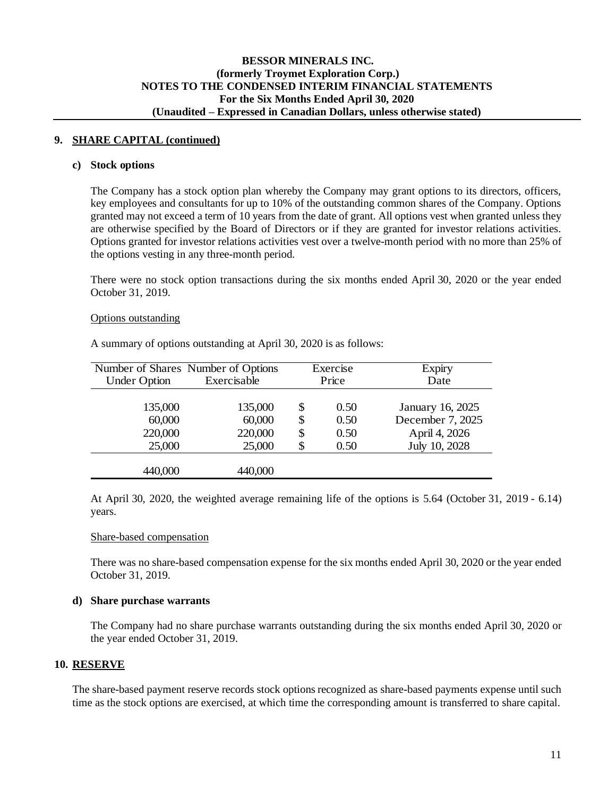### **9. SHARE CAPITAL (continued)**

#### **c) Stock options**

The Company has a stock option plan whereby the Company may grant options to its directors, officers, key employees and consultants for up to 10% of the outstanding common shares of the Company. Options granted may not exceed a term of 10 years from the date of grant. All options vest when granted unless they are otherwise specified by the Board of Directors or if they are granted for investor relations activities. Options granted for investor relations activities vest over a twelve-month period with no more than 25% of the options vesting in any three-month period.

There were no stock option transactions during the six months ended April 30, 2020 or the year ended October 31, 2019.

#### Options outstanding

| <b>Under Option</b> | Number of Shares Number of Options<br>Exercisable |     | Exercise<br>Price | <b>Expiry</b><br>Date |
|---------------------|---------------------------------------------------|-----|-------------------|-----------------------|
| 135,000             | 135,000                                           | \$. | 0.50              | January 16, 2025      |
| 60,000              | 60,000                                            | \$  | 0.50              | December 7, 2025      |
| 220,000             | 220,000                                           | \$  | 0.50              | April 4, 2026         |
| 25,000              | 25,000                                            |     | 0.50              | July 10, 2028         |
| 440,000             | 440,000                                           |     |                   |                       |

A summary of options outstanding at April 30, 2020 is as follows:

At April 30, 2020, the weighted average remaining life of the options is 5.64 (October 31, 2019 - 6.14) years.

### Share-based compensation

There was no share-based compensation expense for the six months ended April 30, 2020 or the year ended October 31, 2019.

### **d) Share purchase warrants**

The Company had no share purchase warrants outstanding during the six months ended April 30, 2020 or the year ended October 31, 2019.

### **10. RESERVE**

The share-based payment reserve records stock options recognized as share-based payments expense until such time as the stock options are exercised, at which time the corresponding amount is transferred to share capital.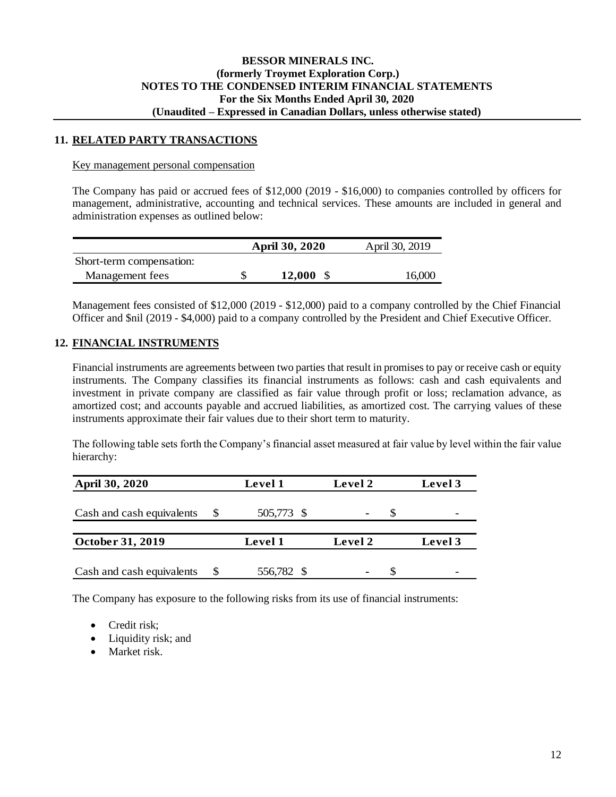### **11. RELATED PARTY TRANSACTIONS**

#### Key management personal compensation

The Company has paid or accrued fees of \$12,000 (2019 - \$16,000) to companies controlled by officers for management, administrative, accounting and technical services. These amounts are included in general and administration expenses as outlined below:

|                          | <b>April 30, 2020</b> | April 30, 2019 |
|--------------------------|-----------------------|----------------|
| Short-term compensation: |                       |                |
| Management fees          | <b>12.000</b>         | 16,000         |

Management fees consisted of \$12,000 (2019 - \$12,000) paid to a company controlled by the Chief Financial Officer and \$nil (2019 - \$4,000) paid to a company controlled by the President and Chief Executive Officer.

### **12. FINANCIAL INSTRUMENTS**

Financial instruments are agreements between two parties that result in promises to pay or receive cash or equity instruments. The Company classifies its financial instruments as follows: cash and cash equivalents and investment in private company are classified as fair value through profit or loss; reclamation advance, as amortized cost; and accounts payable and accrued liabilities, as amortized cost. The carrying values of these instruments approximate their fair values due to their short term to maturity.

The following table sets forth the Company's financial asset measured at fair value by level within the fair value hierarchy:

| <b>April 30, 2020</b>     | Level 1    | Level 2        | <b>Level</b> 3 |
|---------------------------|------------|----------------|----------------|
| Cash and cash equivalents | 505,773 \$ | -              |                |
|                           |            |                |                |
| October 31, 2019          | Level 1    | Level 2        | Level 3        |
| Cash and cash equivalents | 556,782 \$ | $\blacksquare$ |                |

The Company has exposure to the following risks from its use of financial instruments:

- Credit risk:
- Liquidity risk; and
- Market risk.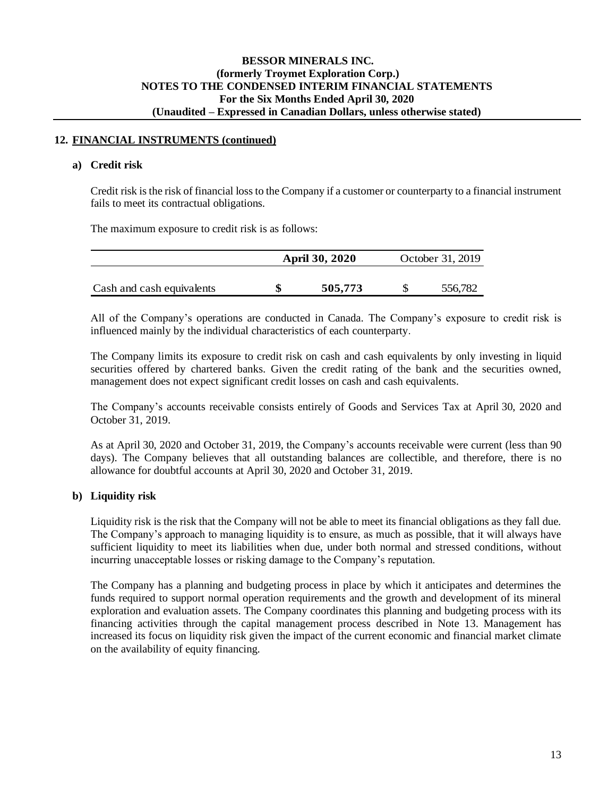### **12. FINANCIAL INSTRUMENTS (continued)**

#### **a) Credit risk**

Credit risk is the risk of financial loss to the Company if a customer or counterparty to a financial instrument fails to meet its contractual obligations.

The maximum exposure to credit risk is as follows:

|                           | <b>April 30, 2020</b> | October 31, 2019 |
|---------------------------|-----------------------|------------------|
|                           |                       |                  |
| Cash and cash equivalents | 505,773               | 556,782          |

All of the Company's operations are conducted in Canada. The Company's exposure to credit risk is influenced mainly by the individual characteristics of each counterparty.

The Company limits its exposure to credit risk on cash and cash equivalents by only investing in liquid securities offered by chartered banks. Given the credit rating of the bank and the securities owned, management does not expect significant credit losses on cash and cash equivalents.

The Company's accounts receivable consists entirely of Goods and Services Tax at April 30, 2020 and October 31, 2019.

As at April 30, 2020 and October 31, 2019, the Company's accounts receivable were current (less than 90 days). The Company believes that all outstanding balances are collectible, and therefore, there is no allowance for doubtful accounts at April 30, 2020 and October 31, 2019.

### **b) Liquidity risk**

Liquidity risk is the risk that the Company will not be able to meet its financial obligations as they fall due. The Company's approach to managing liquidity is to ensure, as much as possible, that it will always have sufficient liquidity to meet its liabilities when due, under both normal and stressed conditions, without incurring unacceptable losses or risking damage to the Company's reputation.

The Company has a planning and budgeting process in place by which it anticipates and determines the funds required to support normal operation requirements and the growth and development of its mineral exploration and evaluation assets. The Company coordinates this planning and budgeting process with its financing activities through the capital management process described in Note 13. Management has increased its focus on liquidity risk given the impact of the current economic and financial market climate on the availability of equity financing.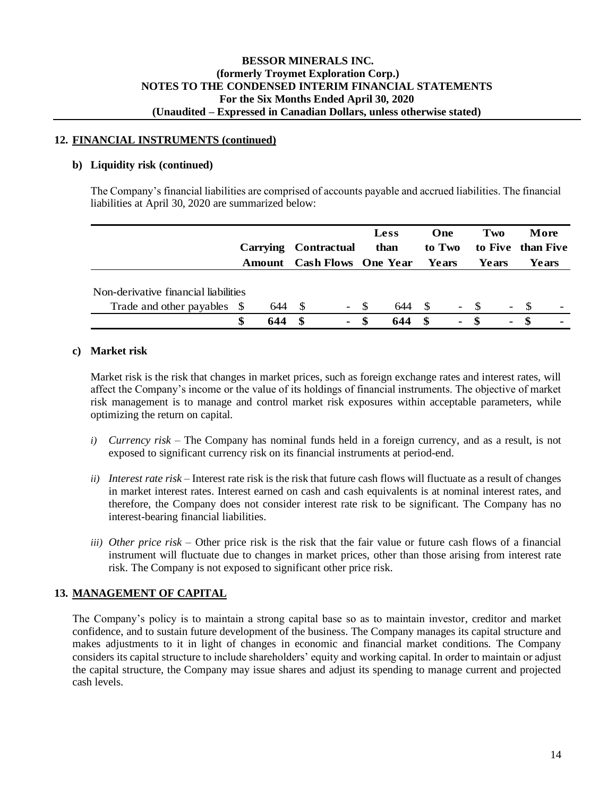### **12. FINANCIAL INSTRUMENTS (continued)**

#### **b) Liquidity risk (continued)**

The Company's financial liabilities are comprised of accounts payable and accrued liabilities. The financial liabilities at April 30, 2020 are summarized below:

|                                      |     |      |                          |     | <b>Less</b>                       |      | One            |       | Two                      |            | More              |
|--------------------------------------|-----|------|--------------------------|-----|-----------------------------------|------|----------------|-------|--------------------------|------------|-------------------|
|                                      |     |      | Carrying Contractual     |     | than                              |      | to Two         |       |                          |            | to Five than Five |
|                                      |     |      |                          |     | <b>Amount</b> Cash Flows One Year |      | Years          |       | <b>Years</b>             |            | Years             |
|                                      |     |      |                          |     |                                   |      |                |       |                          |            |                   |
| Non-derivative financial liabilities |     |      |                          |     |                                   |      |                |       |                          |            |                   |
| Trade and other payables \$          | 644 | - \$ | $\overline{\phantom{a}}$ | S S | 644                               | -S   |                | $- S$ | $\overline{\phantom{0}}$ | $^{\circ}$ |                   |
|                                      | 644 |      | $\blacksquare$           |     | 644                               | - \$ | $\blacksquare$ | - \$  | $\blacksquare$           |            |                   |

### **c) Market risk**

Market risk is the risk that changes in market prices, such as foreign exchange rates and interest rates, will affect the Company's income or the value of its holdings of financial instruments. The objective of market risk management is to manage and control market risk exposures within acceptable parameters, while optimizing the return on capital.

- *i) Currency risk –* The Company has nominal funds held in a foreign currency, and as a result, is not exposed to significant currency risk on its financial instruments at period-end.
- *ii) Interest rate risk –* Interest rate risk is the risk that future cash flows will fluctuate as a result of changes in market interest rates. Interest earned on cash and cash equivalents is at nominal interest rates, and therefore, the Company does not consider interest rate risk to be significant. The Company has no interest-bearing financial liabilities.
- *iii) Other price risk –* Other price risk is the risk that the fair value or future cash flows of a financial instrument will fluctuate due to changes in market prices, other than those arising from interest rate risk. The Company is not exposed to significant other price risk.

### **13. MANAGEMENT OF CAPITAL**

The Company's policy is to maintain a strong capital base so as to maintain investor, creditor and market confidence, and to sustain future development of the business. The Company manages its capital structure and makes adjustments to it in light of changes in economic and financial market conditions. The Company considers its capital structure to include shareholders' equity and working capital. In order to maintain or adjust the capital structure, the Company may issue shares and adjust its spending to manage current and projected cash levels.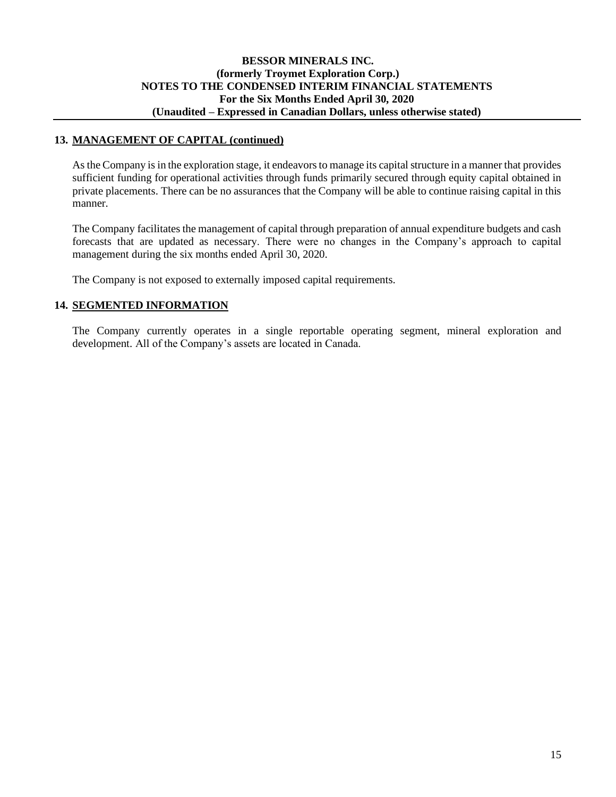### **BESSOR MINERALS INC. (formerly Troymet Exploration Corp.) NOTES TO THE CONDENSED INTERIM FINANCIAL STATEMENTS For the Six Months Ended April 30, 2020 (Unaudited – Expressed in Canadian Dollars, unless otherwise stated)**

### **13. MANAGEMENT OF CAPITAL (continued)**

As the Company is in the exploration stage, it endeavors to manage its capital structure in a manner that provides sufficient funding for operational activities through funds primarily secured through equity capital obtained in private placements. There can be no assurances that the Company will be able to continue raising capital in this manner.

The Company facilitates the management of capital through preparation of annual expenditure budgets and cash forecasts that are updated as necessary. There were no changes in the Company's approach to capital management during the six months ended April 30, 2020.

The Company is not exposed to externally imposed capital requirements.

### **14. SEGMENTED INFORMATION**

The Company currently operates in a single reportable operating segment, mineral exploration and development. All of the Company's assets are located in Canada.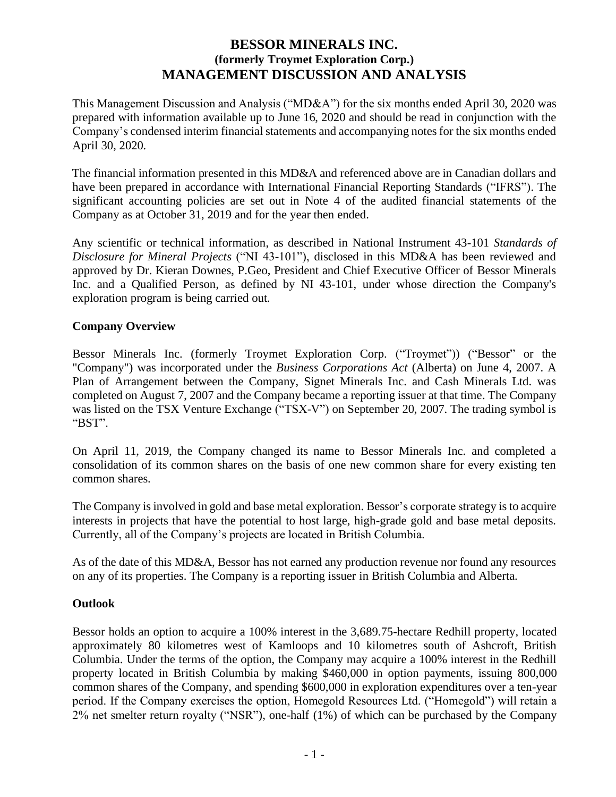# **BESSOR MINERALS INC. (formerly Troymet Exploration Corp.) MANAGEMENT DISCUSSION AND ANALYSIS**

This Management Discussion and Analysis ("MD&A") for the six months ended April 30, 2020 was prepared with information available up to June 16, 2020 and should be read in conjunction with the Company's condensed interim financial statements and accompanying notes for the six months ended April 30, 2020.

The financial information presented in this MD&A and referenced above are in Canadian dollars and have been prepared in accordance with International Financial Reporting Standards ("IFRS"). The significant accounting policies are set out in Note 4 of the audited financial statements of the Company as at October 31, 2019 and for the year then ended.

Any scientific or technical information, as described in National Instrument 43-101 *Standards of Disclosure for Mineral Projects* ("NI 43-101"), disclosed in this MD&A has been reviewed and approved by Dr. Kieran Downes, P.Geo, President and Chief Executive Officer of Bessor Minerals Inc. and a Qualified Person, as defined by NI 43-101, under whose direction the Company's exploration program is being carried out.

## **Company Overview**

Bessor Minerals Inc. (formerly Troymet Exploration Corp. ("Troymet")) ("Bessor" or the "Company") was incorporated under the *Business Corporations Act* (Alberta) on June 4, 2007. A Plan of Arrangement between the Company, Signet Minerals Inc. and Cash Minerals Ltd. was completed on August 7, 2007 and the Company became a reporting issuer at that time. The Company was listed on the TSX Venture Exchange ("TSX-V") on September 20, 2007. The trading symbol is "BST".

On April 11, 2019, the Company changed its name to Bessor Minerals Inc. and completed a consolidation of its common shares on the basis of one new common share for every existing ten common shares.

The Company is involved in gold and base metal exploration. Bessor's corporate strategy is to acquire interests in projects that have the potential to host large, high-grade gold and base metal deposits. Currently, all of the Company's projects are located in British Columbia.

As of the date of this MD&A, Bessor has not earned any production revenue nor found any resources on any of its properties. The Company is a reporting issuer in British Columbia and Alberta.

### **Outlook**

Bessor holds an option to acquire a 100% interest in the 3,689.75-hectare Redhill property, located approximately 80 kilometres west of Kamloops and 10 kilometres south of Ashcroft, British Columbia. Under the terms of the option, the Company may acquire a 100% interest in the Redhill property located in British Columbia by making \$460,000 in option payments, issuing 800,000 common shares of the Company, and spending \$600,000 in exploration expenditures over a ten-year period. If the Company exercises the option, Homegold Resources Ltd. ("Homegold") will retain a 2% net smelter return royalty ("NSR"), one-half (1%) of which can be purchased by the Company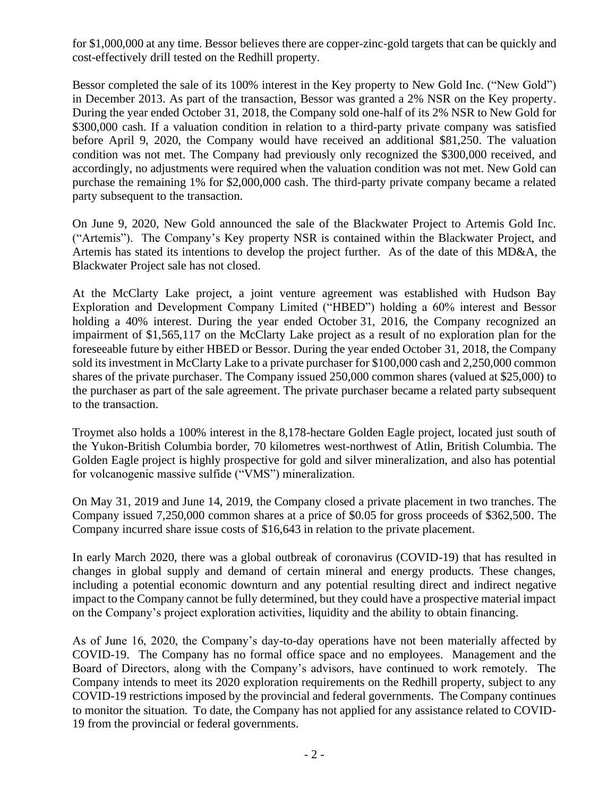for \$1,000,000 at any time. Bessor believes there are copper-zinc-gold targets that can be quickly and cost-effectively drill tested on the Redhill property.

Bessor completed the sale of its 100% interest in the Key property to New Gold Inc. ("New Gold") in December 2013. As part of the transaction, Bessor was granted a 2% NSR on the Key property. During the year ended October 31, 2018, the Company sold one-half of its 2% NSR to New Gold for \$300,000 cash. If a valuation condition in relation to a third-party private company was satisfied before April 9, 2020, the Company would have received an additional \$81,250. The valuation condition was not met. The Company had previously only recognized the \$300,000 received, and accordingly, no adjustments were required when the valuation condition was not met. New Gold can purchase the remaining 1% for \$2,000,000 cash. The third-party private company became a related party subsequent to the transaction.

On June 9, 2020, New Gold announced the sale of the Blackwater Project to Artemis Gold Inc. ("Artemis"). The Company's Key property NSR is contained within the Blackwater Project, and Artemis has stated its intentions to develop the project further. As of the date of this MD&A, the Blackwater Project sale has not closed.

At the McClarty Lake project, a joint venture agreement was established with Hudson Bay Exploration and Development Company Limited ("HBED") holding a 60% interest and Bessor holding a 40% interest. During the year ended October 31, 2016, the Company recognized an impairment of \$1,565,117 on the McClarty Lake project as a result of no exploration plan for the foreseeable future by either HBED or Bessor. During the year ended October 31, 2018, the Company sold its investment in McClarty Lake to a private purchaser for \$100,000 cash and 2,250,000 common shares of the private purchaser. The Company issued 250,000 common shares (valued at \$25,000) to the purchaser as part of the sale agreement. The private purchaser became a related party subsequent to the transaction.

Troymet also holds a 100% interest in the 8,178-hectare Golden Eagle project, located just south of the Yukon-British Columbia border, 70 kilometres west-northwest of Atlin, British Columbia. The Golden Eagle project is highly prospective for gold and silver mineralization, and also has potential for volcanogenic massive sulfide ("VMS") mineralization.

On May 31, 2019 and June 14, 2019, the Company closed a private placement in two tranches. The Company issued 7,250,000 common shares at a price of \$0.05 for gross proceeds of \$362,500. The Company incurred share issue costs of \$16,643 in relation to the private placement.

In early March 2020, there was a global outbreak of coronavirus (COVID-19) that has resulted in changes in global supply and demand of certain mineral and energy products. These changes, including a potential economic downturn and any potential resulting direct and indirect negative impact to the Company cannot be fully determined, but they could have a prospective material impact on the Company's project exploration activities, liquidity and the ability to obtain financing.

As of June 16, 2020, the Company's day-to-day operations have not been materially affected by COVID-19. The Company has no formal office space and no employees. Management and the Board of Directors, along with the Company's advisors, have continued to work remotely. The Company intends to meet its 2020 exploration requirements on the Redhill property, subject to any COVID-19 restrictions imposed by the provincial and federal governments. The Company continues to monitor the situation. To date, the Company has not applied for any assistance related to COVID-19 from the provincial or federal governments.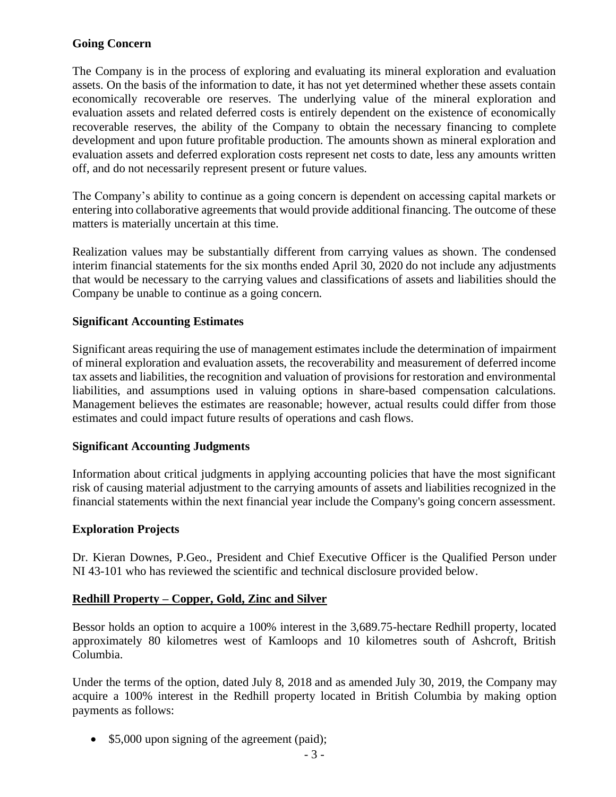# **Going Concern**

The Company is in the process of exploring and evaluating its mineral exploration and evaluation assets. On the basis of the information to date, it has not yet determined whether these assets contain economically recoverable ore reserves. The underlying value of the mineral exploration and evaluation assets and related deferred costs is entirely dependent on the existence of economically recoverable reserves, the ability of the Company to obtain the necessary financing to complete development and upon future profitable production. The amounts shown as mineral exploration and evaluation assets and deferred exploration costs represent net costs to date, less any amounts written off, and do not necessarily represent present or future values.

The Company's ability to continue as a going concern is dependent on accessing capital markets or entering into collaborative agreements that would provide additional financing. The outcome of these matters is materially uncertain at this time.

Realization values may be substantially different from carrying values as shown. The condensed interim financial statements for the six months ended April 30, 2020 do not include any adjustments that would be necessary to the carrying values and classifications of assets and liabilities should the Company be unable to continue as a going concern.

# **Significant Accounting Estimates**

Significant areas requiring the use of management estimates include the determination of impairment of mineral exploration and evaluation assets, the recoverability and measurement of deferred income tax assets and liabilities, the recognition and valuation of provisions for restoration and environmental liabilities, and assumptions used in valuing options in share-based compensation calculations. Management believes the estimates are reasonable; however, actual results could differ from those estimates and could impact future results of operations and cash flows.

# **Significant Accounting Judgments**

Information about critical judgments in applying accounting policies that have the most significant risk of causing material adjustment to the carrying amounts of assets and liabilities recognized in the financial statements within the next financial year include the Company's going concern assessment.

# **Exploration Projects**

Dr. Kieran Downes, P.Geo., President and Chief Executive Officer is the Qualified Person under NI 43-101 who has reviewed the scientific and technical disclosure provided below.

### **Redhill Property – Copper, Gold, Zinc and Silver**

Bessor holds an option to acquire a 100% interest in the 3,689.75-hectare Redhill property, located approximately 80 kilometres west of Kamloops and 10 kilometres south of Ashcroft, British Columbia.

Under the terms of the option, dated July 8, 2018 and as amended July 30, 2019, the Company may acquire a 100% interest in the Redhill property located in British Columbia by making option payments as follows:

• \$5,000 upon signing of the agreement (paid);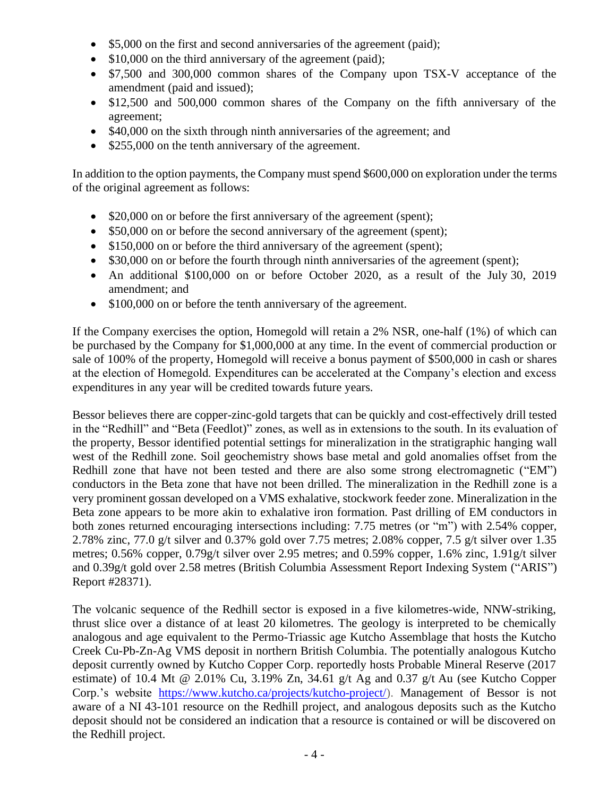- \$5,000 on the first and second anniversaries of the agreement (paid);
- \$10,000 on the third anniversary of the agreement (paid);
- \$7,500 and 300,000 common shares of the Company upon TSX-V acceptance of the amendment (paid and issued);
- \$12,500 and 500,000 common shares of the Company on the fifth anniversary of the agreement;
- \$40,000 on the sixth through ninth anniversaries of the agreement; and
- \$255,000 on the tenth anniversary of the agreement.

In addition to the option payments, the Company must spend \$600,000 on exploration under the terms of the original agreement as follows:

- \$20,000 on or before the first anniversary of the agreement (spent);
- \$50,000 on or before the second anniversary of the agreement (spent);
- \$150,000 on or before the third anniversary of the agreement (spent);
- \$30,000 on or before the fourth through ninth anniversaries of the agreement (spent);
- An additional \$100,000 on or before October 2020, as a result of the July 30, 2019 amendment; and
- \$100,000 on or before the tenth anniversary of the agreement.

If the Company exercises the option, Homegold will retain a 2% NSR, one-half (1%) of which can be purchased by the Company for \$1,000,000 at any time. In the event of commercial production or sale of 100% of the property, Homegold will receive a bonus payment of \$500,000 in cash or shares at the election of Homegold. Expenditures can be accelerated at the Company's election and excess expenditures in any year will be credited towards future years.

Bessor believes there are copper-zinc-gold targets that can be quickly and cost-effectively drill tested in the "Redhill" and "Beta (Feedlot)" zones, as well as in extensions to the south. In its evaluation of the property, Bessor identified potential settings for mineralization in the stratigraphic hanging wall west of the Redhill zone. Soil geochemistry shows base metal and gold anomalies offset from the Redhill zone that have not been tested and there are also some strong electromagnetic ("EM") conductors in the Beta zone that have not been drilled. The mineralization in the Redhill zone is a very prominent gossan developed on a VMS exhalative, stockwork feeder zone. Mineralization in the Beta zone appears to be more akin to exhalative iron formation. Past drilling of EM conductors in both zones returned encouraging intersections including: 7.75 metres (or "m") with 2.54% copper, 2.78% zinc, 77.0 g/t silver and 0.37% gold over 7.75 metres; 2.08% copper, 7.5 g/t silver over 1.35 metres; 0.56% copper, 0.79g/t silver over 2.95 metres; and 0.59% copper, 1.6% zinc, 1.91g/t silver and 0.39g/t gold over 2.58 metres (British Columbia Assessment Report Indexing System ("ARIS") Report #28371).

The volcanic sequence of the Redhill sector is exposed in a five kilometres-wide, NNW-striking, thrust slice over a distance of at least 20 kilometres. The geology is interpreted to be chemically analogous and age equivalent to the Permo-Triassic age Kutcho Assemblage that hosts the Kutcho Creek Cu-Pb-Zn-Ag VMS deposit in northern British Columbia. The potentially analogous Kutcho deposit currently owned by Kutcho Copper Corp. reportedly hosts Probable Mineral Reserve (2017 estimate) of 10.4 Mt @ 2.01% Cu, 3.19% Zn, 34.61 g/t Ag and 0.37 g/t Au (see Kutcho Copper Corp.'s website [https://www.kutcho.ca/projects/kutcho-project/\)](https://www.kutcho.ca/projects/kutcho-project/). Management of Bessor is not aware of a NI 43-101 resource on the Redhill project, and analogous deposits such as the Kutcho deposit should not be considered an indication that a resource is contained or will be discovered on the Redhill project.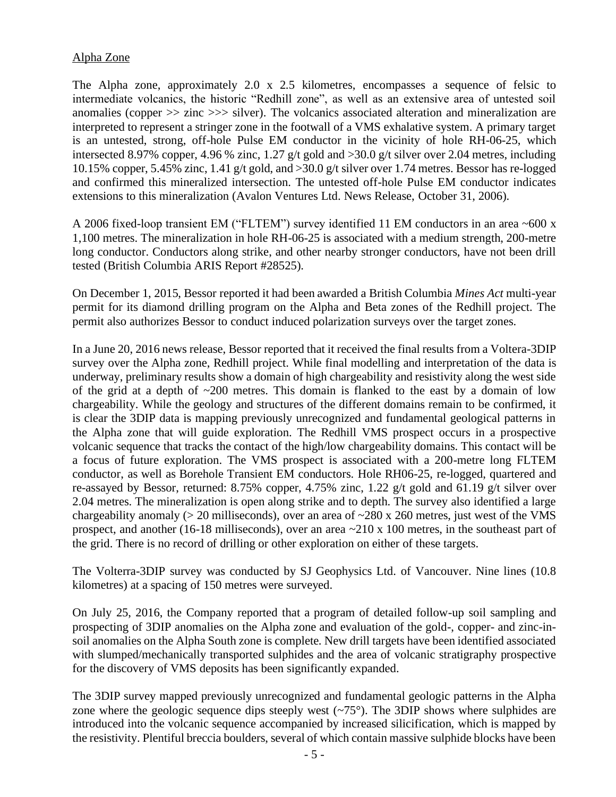## Alpha Zone

The Alpha zone, approximately 2.0 x 2.5 kilometres, encompasses a sequence of felsic to intermediate volcanics, the historic "Redhill zone", as well as an extensive area of untested soil anomalies (copper >> zinc >>> silver). The volcanics associated alteration and mineralization are interpreted to represent a stringer zone in the footwall of a VMS exhalative system. A primary target is an untested, strong, off-hole Pulse EM conductor in the vicinity of hole RH-06-25, which intersected 8.97% copper, 4.96 % zinc, 1.27 g/t gold and >30.0 g/t silver over 2.04 metres, including 10.15% copper, 5.45% zinc, 1.41 g/t gold, and >30.0 g/t silver over 1.74 metres. Bessor has re-logged and confirmed this mineralized intersection. The untested off-hole Pulse EM conductor indicates extensions to this mineralization (Avalon Ventures Ltd. News Release, October 31, 2006).

A 2006 fixed-loop transient EM ("FLTEM") survey identified 11 EM conductors in an area ~600 x 1,100 metres. The mineralization in hole RH-06-25 is associated with a medium strength, 200-metre long conductor. Conductors along strike, and other nearby stronger conductors, have not been drill tested (British Columbia ARIS Report #28525).

On December 1, 2015, Bessor reported it had been awarded a British Columbia *Mines Act* multi-year permit for its diamond drilling program on the Alpha and Beta zones of the Redhill project. The permit also authorizes Bessor to conduct induced polarization surveys over the target zones.

In a June 20, 2016 news release, Bessor reported that it received the final results from a Voltera-3DIP survey over the Alpha zone, Redhill project. While final modelling and interpretation of the data is underway, preliminary results show a domain of high chargeability and resistivity along the west side of the grid at a depth of  $\sim$ 200 metres. This domain is flanked to the east by a domain of low chargeability. While the geology and structures of the different domains remain to be confirmed, it is clear the 3DIP data is mapping previously unrecognized and fundamental geological patterns in the Alpha zone that will guide exploration. The Redhill VMS prospect occurs in a prospective volcanic sequence that tracks the contact of the high/low chargeability domains. This contact will be a focus of future exploration. The VMS prospect is associated with a 200-metre long FLTEM conductor, as well as Borehole Transient EM conductors. Hole RH06-25, re-logged, quartered and re-assayed by Bessor, returned: 8.75% copper, 4.75% zinc, 1.22 g/t gold and 61.19 g/t silver over 2.04 metres. The mineralization is open along strike and to depth. The survey also identified a large chargeability anomaly ( $> 20$  milliseconds), over an area of  $\sim$ 280 x 260 metres, just west of the VMS prospect, and another (16-18 milliseconds), over an area ~210 x 100 metres, in the southeast part of the grid. There is no record of drilling or other exploration on either of these targets.

The Volterra-3DIP survey was conducted by SJ Geophysics Ltd. of Vancouver. Nine lines (10.8 kilometres) at a spacing of 150 metres were surveyed.

On July 25, 2016, the Company reported that a program of detailed follow-up soil sampling and prospecting of 3DIP anomalies on the Alpha zone and evaluation of the gold-, copper- and zinc-insoil anomalies on the Alpha South zone is complete. New drill targets have been identified associated with slumped/mechanically transported sulphides and the area of volcanic stratigraphy prospective for the discovery of VMS deposits has been significantly expanded.

The 3DIP survey mapped previously unrecognized and fundamental geologic patterns in the Alpha zone where the geologic sequence dips steeply west  $(-75^{\circ})$ . The 3DIP shows where sulphides are introduced into the volcanic sequence accompanied by increased silicification, which is mapped by the resistivity. Plentiful breccia boulders, several of which contain massive sulphide blocks have been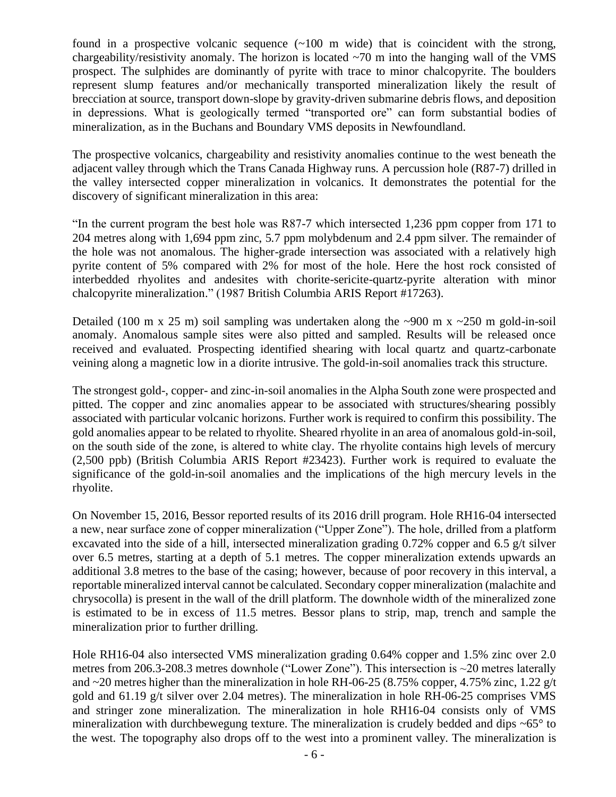found in a prospective volcanic sequence  $(\sim 100 \text{ m}$  wide) that is coincident with the strong, chargeability/resistivity anomaly. The horizon is located  $\sim$ 70 m into the hanging wall of the VMS prospect. The sulphides are dominantly of pyrite with trace to minor chalcopyrite. The boulders represent slump features and/or mechanically transported mineralization likely the result of brecciation at source, transport down-slope by gravity-driven submarine debris flows, and deposition in depressions. What is geologically termed "transported ore" can form substantial bodies of mineralization, as in the Buchans and Boundary VMS deposits in Newfoundland.

The prospective volcanics, chargeability and resistivity anomalies continue to the west beneath the adjacent valley through which the Trans Canada Highway runs. A percussion hole (R87-7) drilled in the valley intersected copper mineralization in volcanics. It demonstrates the potential for the discovery of significant mineralization in this area:

"In the current program the best hole was R87-7 which intersected 1,236 ppm copper from 171 to 204 metres along with 1,694 ppm zinc, 5.7 ppm molybdenum and 2.4 ppm silver. The remainder of the hole was not anomalous. The higher-grade intersection was associated with a relatively high pyrite content of 5% compared with 2% for most of the hole. Here the host rock consisted of interbedded rhyolites and andesites with chorite-sericite-quartz-pyrite alteration with minor chalcopyrite mineralization." (1987 British Columbia ARIS Report #17263).

Detailed (100 m x 25 m) soil sampling was undertaken along the  $\sim$ 900 m x  $\sim$ 250 m gold-in-soil anomaly. Anomalous sample sites were also pitted and sampled. Results will be released once received and evaluated. Prospecting identified shearing with local quartz and quartz-carbonate veining along a magnetic low in a diorite intrusive. The gold-in-soil anomalies track this structure.

The strongest gold-, copper- and zinc-in-soil anomalies in the Alpha South zone were prospected and pitted. The copper and zinc anomalies appear to be associated with structures/shearing possibly associated with particular volcanic horizons. Further work is required to confirm this possibility. The gold anomalies appear to be related to rhyolite. Sheared rhyolite in an area of anomalous gold-in-soil, on the south side of the zone, is altered to white clay. The rhyolite contains high levels of mercury (2,500 ppb) (British Columbia ARIS Report #23423). Further work is required to evaluate the significance of the gold-in-soil anomalies and the implications of the high mercury levels in the rhyolite.

On November 15, 2016, Bessor reported results of its 2016 drill program. Hole RH16-04 intersected a new, near surface zone of copper mineralization ("Upper Zone"). The hole, drilled from a platform excavated into the side of a hill, intersected mineralization grading 0.72% copper and 6.5 g/t silver over 6.5 metres, starting at a depth of 5.1 metres. The copper mineralization extends upwards an additional 3.8 metres to the base of the casing; however, because of poor recovery in this interval, a reportable mineralized interval cannot be calculated. Secondary copper mineralization (malachite and chrysocolla) is present in the wall of the drill platform. The downhole width of the mineralized zone is estimated to be in excess of 11.5 metres. Bessor plans to strip, map, trench and sample the mineralization prior to further drilling.

Hole RH16-04 also intersected VMS mineralization grading 0.64% copper and 1.5% zinc over 2.0 metres from 206.3-208.3 metres downhole ("Lower Zone"). This intersection is ~20 metres laterally and  $\sim$ 20 metres higher than the mineralization in hole RH-06-25 (8.75% copper, 4.75% zinc, 1.22 g/t gold and 61.19 g/t silver over 2.04 metres). The mineralization in hole RH-06-25 comprises VMS and stringer zone mineralization. The mineralization in hole RH16-04 consists only of VMS mineralization with durchbewegung texture. The mineralization is crudely bedded and dips  $\sim 65^\circ$  to the west. The topography also drops off to the west into a prominent valley. The mineralization is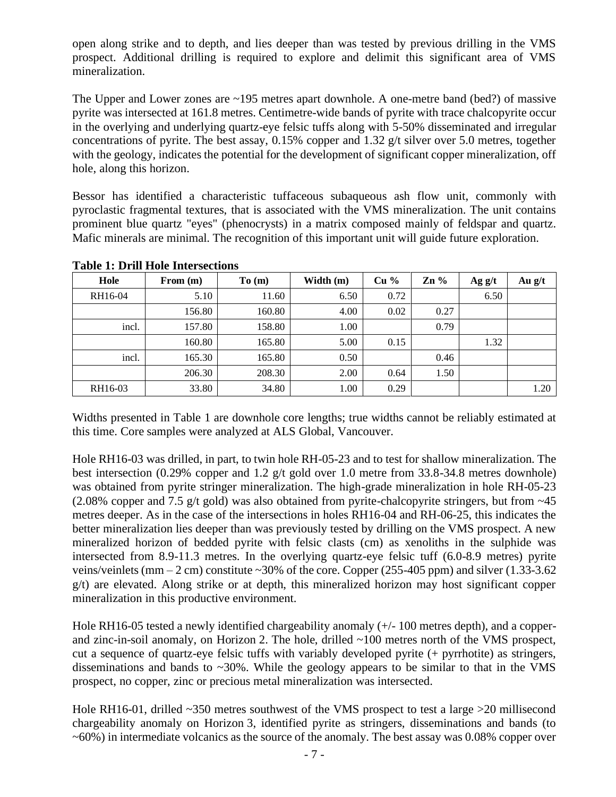open along strike and to depth, and lies deeper than was tested by previous drilling in the VMS prospect. Additional drilling is required to explore and delimit this significant area of VMS mineralization.

The Upper and Lower zones are ~195 metres apart downhole. A one-metre band (bed?) of massive pyrite was intersected at 161.8 metres. Centimetre-wide bands of pyrite with trace chalcopyrite occur in the overlying and underlying quartz-eye felsic tuffs along with 5-50% disseminated and irregular concentrations of pyrite. The best assay, 0.15% copper and 1.32 g/t silver over 5.0 metres, together with the geology, indicates the potential for the development of significant copper mineralization, off hole, along this horizon.

Bessor has identified a characteristic tuffaceous subaqueous ash flow unit, commonly with pyroclastic fragmental textures, that is associated with the VMS mineralization. The unit contains prominent blue quartz "eyes" (phenocrysts) in a matrix composed mainly of feldspar and quartz. Mafic minerals are minimal. The recognition of this important unit will guide future exploration.

| Hole    | From $(m)$ | To(m)  | Width (m) | Cu <sub>9</sub> | $\mathbf{Zn}$ % | Ag $g/t$ | Au $g/t$ |
|---------|------------|--------|-----------|-----------------|-----------------|----------|----------|
| RH16-04 | 5.10       | 11.60  | 6.50      | 0.72            |                 | 6.50     |          |
|         | 156.80     | 160.80 | 4.00      | 0.02            | 0.27            |          |          |
| incl.   | 157.80     | 158.80 | 1.00      |                 | 0.79            |          |          |
|         | 160.80     | 165.80 | 5.00      | 0.15            |                 | 1.32     |          |
| incl.   | 165.30     | 165.80 | 0.50      |                 | 0.46            |          |          |
|         | 206.30     | 208.30 | 2.00      | 0.64            | 1.50            |          |          |
| RH16-03 | 33.80      | 34.80  | 1.00      | 0.29            |                 |          | 1.20     |

### **Table 1: Drill Hole Intersections**

Widths presented in Table 1 are downhole core lengths; true widths cannot be reliably estimated at this time. Core samples were analyzed at ALS Global, Vancouver.

Hole RH16-03 was drilled, in part, to twin hole RH-05-23 and to test for shallow mineralization. The best intersection (0.29% copper and 1.2 g/t gold over 1.0 metre from 33.8-34.8 metres downhole) was obtained from pyrite stringer mineralization. The high-grade mineralization in hole RH-05-23 (2.08% copper and 7.5 g/t gold) was also obtained from pyrite-chalcopyrite stringers, but from  $\sim$ 45 metres deeper. As in the case of the intersections in holes RH16-04 and RH-06-25, this indicates the better mineralization lies deeper than was previously tested by drilling on the VMS prospect. A new mineralized horizon of bedded pyrite with felsic clasts (cm) as xenoliths in the sulphide was intersected from 8.9-11.3 metres. In the overlying quartz-eye felsic tuff (6.0-8.9 metres) pyrite veins/veinlets (mm  $-2$  cm) constitute  $\sim$ 30% of the core. Copper (255-405 ppm) and silver (1.33-3.62  $g(t)$  are elevated. Along strike or at depth, this mineralized horizon may host significant copper mineralization in this productive environment.

Hole RH16-05 tested a newly identified chargeability anomaly (+/- 100 metres depth), and a copperand zinc-in-soil anomaly, on Horizon 2. The hole, drilled ~100 metres north of the VMS prospect, cut a sequence of quartz-eye felsic tuffs with variably developed pyrite (+ pyrrhotite) as stringers, disseminations and bands to  $\sim$ 30%. While the geology appears to be similar to that in the VMS prospect, no copper, zinc or precious metal mineralization was intersected.

Hole RH16-01, drilled ~350 metres southwest of the VMS prospect to test a large >20 millisecond chargeability anomaly on Horizon 3, identified pyrite as stringers, disseminations and bands (to  $\sim 60\%$ ) in intermediate volcanics as the source of the anomaly. The best assay was 0.08% copper over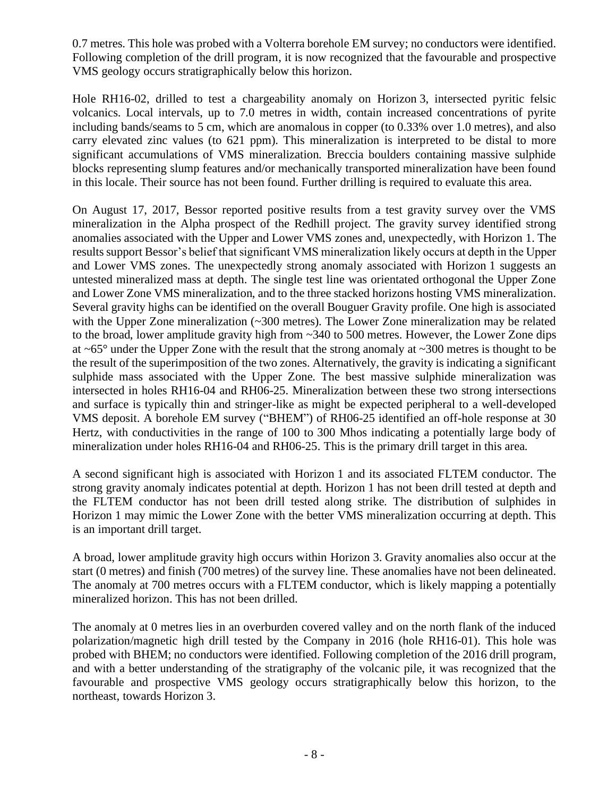0.7 metres. This hole was probed with a Volterra borehole EM survey; no conductors were identified. Following completion of the drill program, it is now recognized that the favourable and prospective VMS geology occurs stratigraphically below this horizon.

Hole RH16-02, drilled to test a chargeability anomaly on Horizon 3, intersected pyritic felsic volcanics. Local intervals, up to 7.0 metres in width, contain increased concentrations of pyrite including bands/seams to 5 cm, which are anomalous in copper (to 0.33% over 1.0 metres), and also carry elevated zinc values (to 621 ppm). This mineralization is interpreted to be distal to more significant accumulations of VMS mineralization. Breccia boulders containing massive sulphide blocks representing slump features and/or mechanically transported mineralization have been found in this locale. Their source has not been found. Further drilling is required to evaluate this area.

On August 17, 2017, Bessor reported positive results from a test gravity survey over the VMS mineralization in the Alpha prospect of the Redhill project. The gravity survey identified strong anomalies associated with the Upper and Lower VMS zones and, unexpectedly, with Horizon 1. The results support Bessor's belief that significant VMS mineralization likely occurs at depth in the Upper and Lower VMS zones. The unexpectedly strong anomaly associated with Horizon 1 suggests an untested mineralized mass at depth. The single test line was orientated orthogonal the Upper Zone and Lower Zone VMS mineralization, and to the three stacked horizons hosting VMS mineralization. Several gravity highs can be identified on the overall Bouguer Gravity profile. One high is associated with the Upper Zone mineralization (~300 metres). The Lower Zone mineralization may be related to the broad, lower amplitude gravity high from ~340 to 500 metres. However, the Lower Zone dips at ~65° under the Upper Zone with the result that the strong anomaly at ~300 metres is thought to be the result of the superimposition of the two zones. Alternatively, the gravity is indicating a significant sulphide mass associated with the Upper Zone. The best massive sulphide mineralization was intersected in holes RH16-04 and RH06-25. Mineralization between these two strong intersections and surface is typically thin and stringer-like as might be expected peripheral to a well-developed VMS deposit. A borehole EM survey ("BHEM") of RH06-25 identified an off-hole response at 30 Hertz, with conductivities in the range of 100 to 300 Mhos indicating a potentially large body of mineralization under holes RH16-04 and RH06-25. This is the primary drill target in this area.

A second significant high is associated with Horizon 1 and its associated FLTEM conductor. The strong gravity anomaly indicates potential at depth. Horizon 1 has not been drill tested at depth and the FLTEM conductor has not been drill tested along strike. The distribution of sulphides in Horizon 1 may mimic the Lower Zone with the better VMS mineralization occurring at depth. This is an important drill target.

A broad, lower amplitude gravity high occurs within Horizon 3. Gravity anomalies also occur at the start (0 metres) and finish (700 metres) of the survey line. These anomalies have not been delineated. The anomaly at 700 metres occurs with a FLTEM conductor, which is likely mapping a potentially mineralized horizon. This has not been drilled.

The anomaly at 0 metres lies in an overburden covered valley and on the north flank of the induced polarization/magnetic high drill tested by the Company in 2016 (hole RH16-01). This hole was probed with BHEM; no conductors were identified. Following completion of the 2016 drill program, and with a better understanding of the stratigraphy of the volcanic pile, it was recognized that the favourable and prospective VMS geology occurs stratigraphically below this horizon, to the northeast, towards Horizon 3.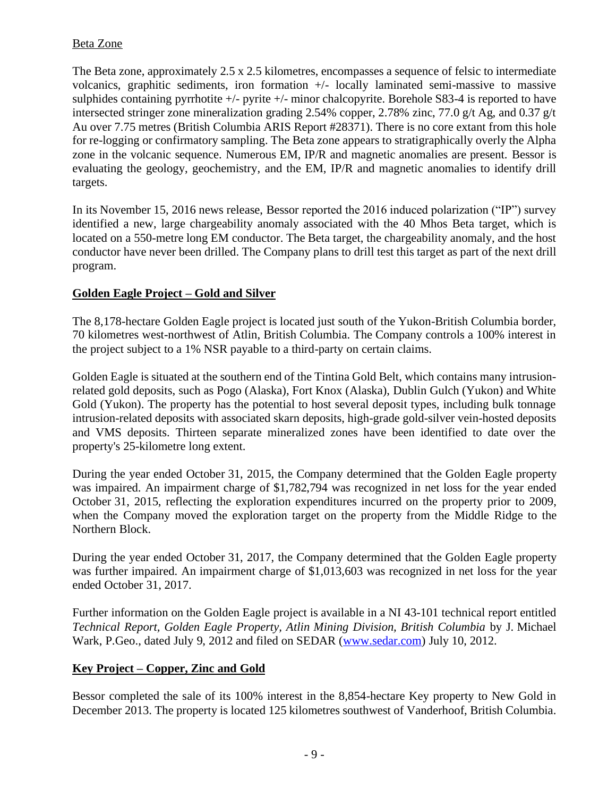# Beta Zone

The Beta zone, approximately 2.5 x 2.5 kilometres, encompasses a sequence of felsic to intermediate volcanics, graphitic sediments, iron formation +/- locally laminated semi-massive to massive sulphides containing pyrrhotite  $+/-$  pyrite  $+/-$  minor chalcopyrite. Borehole S83-4 is reported to have intersected stringer zone mineralization grading 2.54% copper, 2.78% zinc, 77.0 g/t Ag, and 0.37 g/t Au over 7.75 metres (British Columbia ARIS Report #28371). There is no core extant from this hole for re-logging or confirmatory sampling. The Beta zone appears to stratigraphically overly the Alpha zone in the volcanic sequence. Numerous EM, IP/R and magnetic anomalies are present. Bessor is evaluating the geology, geochemistry, and the EM, IP/R and magnetic anomalies to identify drill targets.

In its November 15, 2016 news release, Bessor reported the 2016 induced polarization ("IP") survey identified a new, large chargeability anomaly associated with the 40 Mhos Beta target, which is located on a 550-metre long EM conductor. The Beta target, the chargeability anomaly, and the host conductor have never been drilled. The Company plans to drill test this target as part of the next drill program.

# **Golden Eagle Project – Gold and Silver**

The 8,178-hectare Golden Eagle project is located just south of the Yukon-British Columbia border, 70 kilometres west-northwest of Atlin, British Columbia. The Company controls a 100% interest in the project subject to a 1% NSR payable to a third-party on certain claims.

Golden Eagle is situated at the southern end of the Tintina Gold Belt, which contains many intrusionrelated gold deposits, such as Pogo (Alaska), Fort Knox (Alaska), Dublin Gulch (Yukon) and White Gold (Yukon). The property has the potential to host several deposit types, including bulk tonnage intrusion-related deposits with associated skarn deposits, high-grade gold-silver vein-hosted deposits and VMS deposits. Thirteen separate mineralized zones have been identified to date over the property's 25-kilometre long extent.

During the year ended October 31, 2015, the Company determined that the Golden Eagle property was impaired. An impairment charge of \$1,782,794 was recognized in net loss for the year ended October 31, 2015, reflecting the exploration expenditures incurred on the property prior to 2009, when the Company moved the exploration target on the property from the Middle Ridge to the Northern Block.

During the year ended October 31, 2017, the Company determined that the Golden Eagle property was further impaired. An impairment charge of \$1,013,603 was recognized in net loss for the year ended October 31, 2017.

Further information on the Golden Eagle project is available in a NI 43-101 technical report entitled *Technical Report, Golden Eagle Property, Atlin Mining Division, British Columbia* by J. Michael Wark, P.Geo., dated July 9, 2012 and filed on SEDAR [\(www.sedar.com\)](http://www.sedar.com/) July 10, 2012.

# **Key Project – Copper, Zinc and Gold**

Bessor completed the sale of its 100% interest in the 8,854-hectare Key property to New Gold in December 2013. The property is located 125 kilometres southwest of Vanderhoof, British Columbia.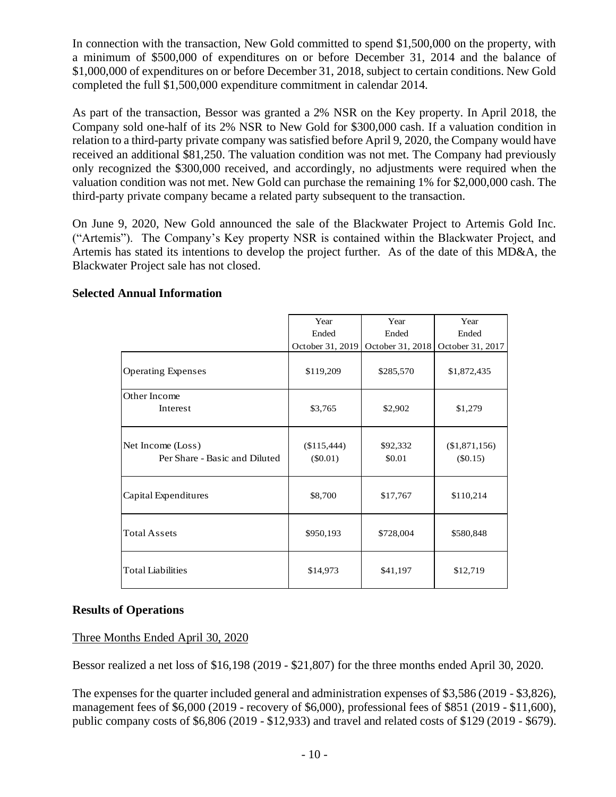In connection with the transaction, New Gold committed to spend \$1,500,000 on the property, with a minimum of \$500,000 of expenditures on or before December 31, 2014 and the balance of \$1,000,000 of expenditures on or before December 31, 2018, subject to certain conditions. New Gold completed the full \$1,500,000 expenditure commitment in calendar 2014.

As part of the transaction, Bessor was granted a 2% NSR on the Key property. In April 2018, the Company sold one-half of its 2% NSR to New Gold for \$300,000 cash. If a valuation condition in relation to a third-party private company was satisfied before April 9, 2020, the Company would have received an additional \$81,250. The valuation condition was not met. The Company had previously only recognized the \$300,000 received, and accordingly, no adjustments were required when the valuation condition was not met. New Gold can purchase the remaining 1% for \$2,000,000 cash. The third-party private company became a related party subsequent to the transaction.

On June 9, 2020, New Gold announced the sale of the Blackwater Project to Artemis Gold Inc. ("Artemis"). The Company's Key property NSR is contained within the Blackwater Project, and Artemis has stated its intentions to develop the project further. As of the date of this MD&A, the Blackwater Project sale has not closed.

|                                                    | Year                      | Year               | Year                        |
|----------------------------------------------------|---------------------------|--------------------|-----------------------------|
|                                                    | Ended                     | Ended              | Ended                       |
|                                                    | October 31, 2019          | October 31, 2018   | October 31, 2017            |
| <b>Operating Expenses</b>                          | \$119,209                 | \$285,570          | \$1,872,435                 |
| Other Income                                       |                           |                    |                             |
| Interest                                           | \$3,765                   | \$2,902            | \$1,279                     |
| Net Income (Loss)<br>Per Share - Basic and Diluted | (\$115,444)<br>$(\$0.01)$ | \$92,332<br>\$0.01 | (\$1,871,156)<br>$(\$0.15)$ |
| Capital Expenditures                               | \$8,700                   | \$17,767           | \$110,214                   |
| <b>Total Assets</b>                                | \$950,193                 | \$728,004          | \$580,848                   |
| <b>Total Liabilities</b>                           | \$14,973                  | \$41,197           | \$12,719                    |

# **Selected Annual Information**

# **Results of Operations**

# Three Months Ended April 30, 2020

Bessor realized a net loss of \$16,198 (2019 - \$21,807) for the three months ended April 30, 2020.

The expenses for the quarter included general and administration expenses of \$3,586 (2019 - \$3,826), management fees of \$6,000 (2019 - recovery of \$6,000), professional fees of \$851 (2019 - \$11,600), public company costs of \$6,806 (2019 - \$12,933) and travel and related costs of \$129 (2019 - \$679).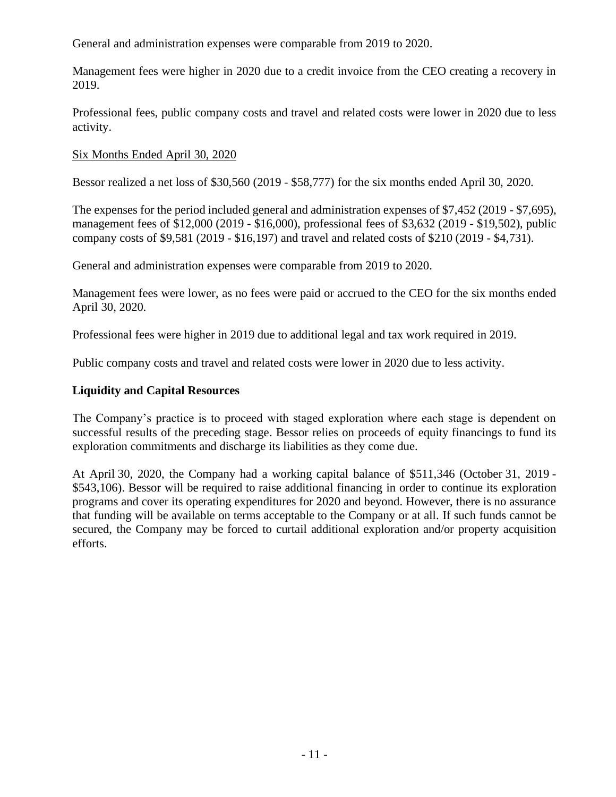General and administration expenses were comparable from 2019 to 2020.

Management fees were higher in 2020 due to a credit invoice from the CEO creating a recovery in 2019.

Professional fees, public company costs and travel and related costs were lower in 2020 due to less activity.

## Six Months Ended April 30, 2020

Bessor realized a net loss of \$30,560 (2019 - \$58,777) for the six months ended April 30, 2020.

The expenses for the period included general and administration expenses of \$7,452 (2019 - \$7,695), management fees of \$12,000 (2019 - \$16,000), professional fees of \$3,632 (2019 - \$19,502), public company costs of \$9,581 (2019 - \$16,197) and travel and related costs of \$210 (2019 - \$4,731).

General and administration expenses were comparable from 2019 to 2020.

Management fees were lower, as no fees were paid or accrued to the CEO for the six months ended April 30, 2020.

Professional fees were higher in 2019 due to additional legal and tax work required in 2019.

Public company costs and travel and related costs were lower in 2020 due to less activity.

## **Liquidity and Capital Resources**

The Company's practice is to proceed with staged exploration where each stage is dependent on successful results of the preceding stage. Bessor relies on proceeds of equity financings to fund its exploration commitments and discharge its liabilities as they come due.

At April 30, 2020, the Company had a working capital balance of \$511,346 (October 31, 2019 - \$543,106). Bessor will be required to raise additional financing in order to continue its exploration programs and cover its operating expenditures for 2020 and beyond. However, there is no assurance that funding will be available on terms acceptable to the Company or at all. If such funds cannot be secured, the Company may be forced to curtail additional exploration and/or property acquisition efforts.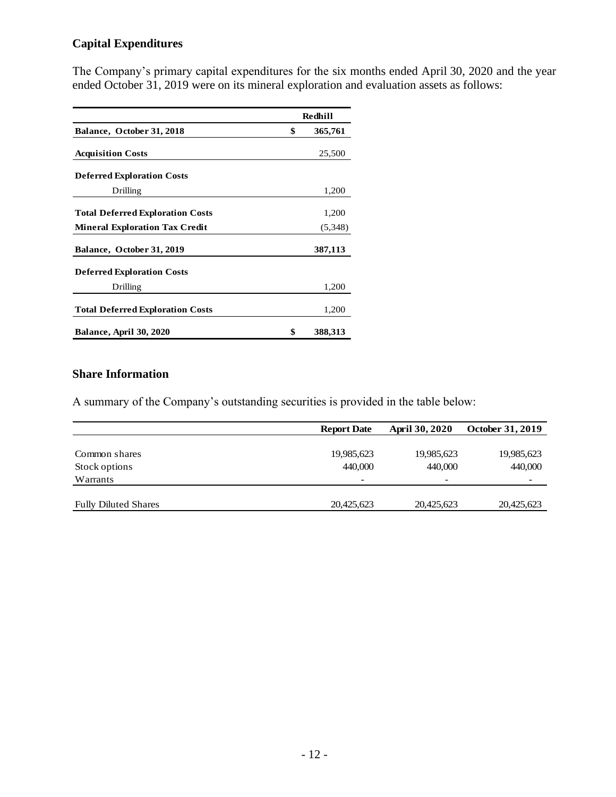# **Capital Expenditures**

The Company's primary capital expenditures for the six months ended April 30, 2020 and the year ended October 31, 2019 were on its mineral exploration and evaluation assets as follows:

|                                         | Redhill       |
|-----------------------------------------|---------------|
| Balance, October 31, 2018               | \$<br>365,761 |
| <b>Acquisition Costs</b>                | 25,500        |
| <b>Deferred Exploration Costs</b>       |               |
| Drilling                                | 1,200         |
| <b>Total Deferred Exploration Costs</b> | 1,200         |
| <b>Mineral Exploration Tax Credit</b>   | (5,348)       |
| Balance, October 31, 2019               | 387,113       |
| <b>Deferred Exploration Costs</b>       |               |
| Drilling                                | 1,200         |
| <b>Total Deferred Exploration Costs</b> | 1,200         |
| <b>Balance, April 30, 2020</b>          | \$<br>388,313 |

# **Share Information**

A summary of the Company's outstanding securities is provided in the table below:

|                             | <b>Report Date</b>       | <b>April 30, 2020</b> | <b>October 31, 2019</b> |
|-----------------------------|--------------------------|-----------------------|-------------------------|
|                             |                          |                       |                         |
| Common shares               | 19,985,623               | 19,985,623            | 19,985,623              |
| Stock options               | 440,000                  | 440,000               | 440,000                 |
| Warrants                    | $\overline{\phantom{a}}$ |                       |                         |
|                             |                          |                       |                         |
| <b>Fully Diluted Shares</b> | 20,425,623               | 20,425,623            | 20,425,623              |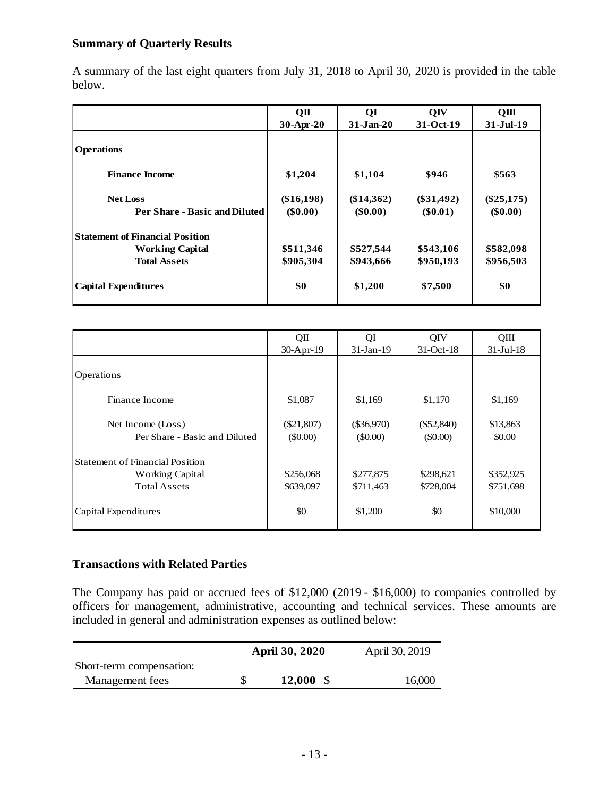# **Summary of Quarterly Results**

A summary of the last eight quarters from July 31, 2018 to April 30, 2020 is provided in the table below.

|                                        | QП           | QI           | QIV          | QIII         |
|----------------------------------------|--------------|--------------|--------------|--------------|
|                                        | 30-Apr-20    | $31-Jan-20$  | 31-Oct-19    | 31-Jul-19    |
| <b>Operations</b>                      |              |              |              |              |
| <b>Finance Income</b>                  | \$1,204      | \$1,104      | \$946        | \$563        |
| <b>Net Loss</b>                        | $(\$16,198)$ | $(\$14,362)$ | $(\$31,492)$ | $(\$25,175)$ |
| Per Share - Basic and Diluted          | $(\$0.00)$   | $(\$0.00)$   | $(\$0.01)$   | $(\$0.00)$   |
| <b>Statement of Financial Position</b> |              |              |              |              |
| <b>Working Capital</b>                 | \$511,346    | \$527,544    | \$543,106    | \$582,098    |
| <b>Total Assets</b>                    | \$905,304    | \$943,666    | \$950,193    | \$956,503    |
| <b>Capital Expenditures</b>            | \$0          | \$1,200      | \$7,500      | \$0          |

|                                                                                         | QII                        | QI                          | QIV                        | QIII                   |
|-----------------------------------------------------------------------------------------|----------------------------|-----------------------------|----------------------------|------------------------|
|                                                                                         | $30-Apr-19$                | $31-Jan-19$                 | $31-Oct-18$                | $31-Ju-18$             |
| Operations                                                                              |                            |                             |                            |                        |
| Finance Income                                                                          | \$1,087                    | \$1,169                     | \$1,170                    | \$1,169                |
| Net Income (Loss)<br>Per Share - Basic and Diluted                                      | $(\$21,807)$<br>$(\$0.00)$ | $(\$36,970)$<br>$($ \$0.00) | $(\$52,840)$<br>$(\$0.00)$ | \$13,863<br>\$0.00     |
| <b>Statement of Financial Position</b><br><b>Working Capital</b><br><b>Total Assets</b> | \$256,068<br>\$639,097     | \$277,875<br>\$711,463      | \$298,621<br>\$728,004     | \$352,925<br>\$751,698 |
| Capital Expenditures                                                                    | \$0                        | \$1,200                     | \$0                        | \$10,000               |

### **Transactions with Related Parties**

The Company has paid or accrued fees of \$12,000 (2019 - \$16,000) to companies controlled by officers for management, administrative, accounting and technical services. These amounts are included in general and administration expenses as outlined below:

|                          | <b>April 30, 2020</b> | April 30, 2019 |  |  |
|--------------------------|-----------------------|----------------|--|--|
| Short-term compensation: |                       |                |  |  |
| Management fees          | $12,000 \text{ }$ \$  | 16,000         |  |  |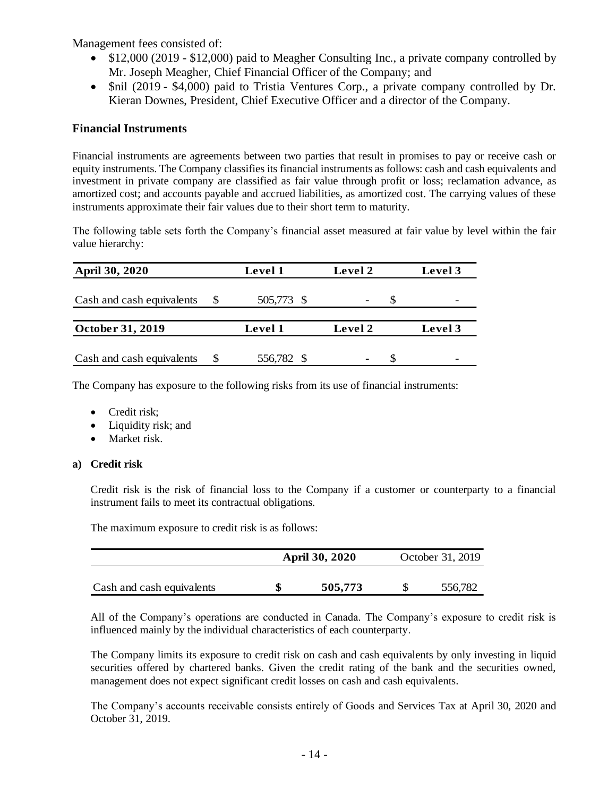Management fees consisted of:

- \$12,000 (2019 \$12,000) paid to Meagher Consulting Inc., a private company controlled by Mr. Joseph Meagher, Chief Financial Officer of the Company; and
- \$nil (2019 \$4,000) paid to Tristia Ventures Corp., a private company controlled by Dr. Kieran Downes, President, Chief Executive Officer and a director of the Company.

## **Financial Instruments**

Financial instruments are agreements between two parties that result in promises to pay or receive cash or equity instruments. The Company classifies its financial instruments as follows: cash and cash equivalents and investment in private company are classified as fair value through profit or loss; reclamation advance, as amortized cost; and accounts payable and accrued liabilities, as amortized cost. The carrying values of these instruments approximate their fair values due to their short term to maturity.

The following table sets forth the Company's financial asset measured at fair value by level within the fair value hierarchy:

| April 30, 2020            | <b>Level 1</b> | Level 2 | Level 3                  |  |  |
|---------------------------|----------------|---------|--------------------------|--|--|
| Cash and cash equivalents | 505,773 \$     |         | $\overline{\phantom{0}}$ |  |  |
| October 31, 2019          | Level 1        | Level 2 | Level 3                  |  |  |
| Cash and cash equivalents | 556,782 \$     |         |                          |  |  |

The Company has exposure to the following risks from its use of financial instruments:

- Credit risk;
- Liquidity risk; and
- Market risk.

### **a) Credit risk**

Credit risk is the risk of financial loss to the Company if a customer or counterparty to a financial instrument fails to meet its contractual obligations.

The maximum exposure to credit risk is as follows:

|                           | <b>April 30, 2020</b> | October 31, 2019 |         |  |  |
|---------------------------|-----------------------|------------------|---------|--|--|
| Cash and cash equivalents | 505,773               |                  | 556,782 |  |  |

All of the Company's operations are conducted in Canada. The Company's exposure to credit risk is influenced mainly by the individual characteristics of each counterparty.

The Company limits its exposure to credit risk on cash and cash equivalents by only investing in liquid securities offered by chartered banks. Given the credit rating of the bank and the securities owned, management does not expect significant credit losses on cash and cash equivalents.

The Company's accounts receivable consists entirely of Goods and Services Tax at April 30, 2020 and October 31, 2019.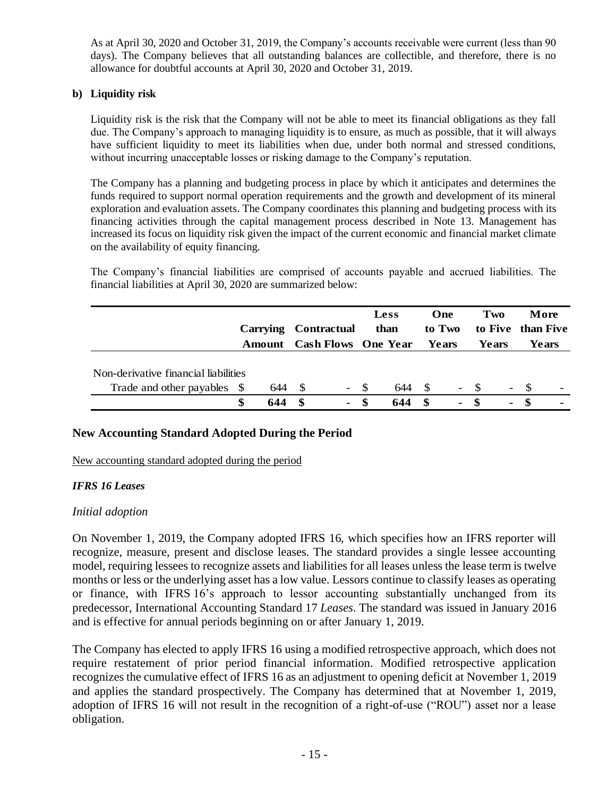As at April 30, 2020 and October 31, 2019, the Company's accounts receivable were current (less than 90 days). The Company believes that all outstanding balances are collectible, and therefore, there is no allowance for doubtful accounts at April 30, 2020 and October 31, 2019.

## **b) Liquidity risk**

Liquidity risk is the risk that the Company will not be able to meet its financial obligations as they fall due. The Company's approach to managing liquidity is to ensure, as much as possible, that it will always have sufficient liquidity to meet its liabilities when due, under both normal and stressed conditions, without incurring unacceptable losses or risking damage to the Company's reputation.

The Company has a planning and budgeting process in place by which it anticipates and determines the funds required to support normal operation requirements and the growth and development of its mineral exploration and evaluation assets. The Company coordinates this planning and budgeting process with its financing activities through the capital management process described in Note 13. Management has increased its focus on liquidity risk given the impact of the current economic and financial market climate on the availability of equity financing.

The Company's financial liabilities are comprised of accounts payable and accrued liabilities. The financial liabilities at April 30, 2020 are summarized below:

|                                      | <b>Carrying</b> | <b>Contractual</b>         |      | <b>Less</b><br>than |    | One<br>to Two  |       | Two                      |  | More<br>to Five than Five |  |
|--------------------------------------|-----------------|----------------------------|------|---------------------|----|----------------|-------|--------------------------|--|---------------------------|--|
|                                      | Amount          | <b>Cash Flows</b> One Year |      |                     |    | Years          |       | Years                    |  | Years                     |  |
|                                      |                 |                            |      |                     |    |                |       |                          |  |                           |  |
| Non-derivative financial liabilities |                 |                            |      |                     |    |                |       |                          |  |                           |  |
| Trade and other payables \$          | 644 S           | $\overline{\phantom{a}}$   | - \$ | 644                 | -S |                | $- S$ | $\overline{\phantom{0}}$ |  |                           |  |
|                                      |                 | \$<br>$\blacksquare$       |      | 644                 | -8 | $\blacksquare$ | -8    | $\blacksquare$           |  | $\blacksquare$            |  |

### **New Accounting Standard Adopted During the Period**

New accounting standard adopted during the period

### *IFRS 16 Leases*

### *Initial adoption*

On November 1, 2019, the Company adopted IFRS 16, which specifies how an IFRS reporter will recognize, measure, present and disclose leases. The standard provides a single lessee accounting model, requiring lessees to recognize assets and liabilities for all leases unless the lease term is twelve months or less or the underlying asset has a low value. Lessors continue to classify leases as operating or finance, with IFRS 16's approach to lessor accounting substantially unchanged from its predecessor, International Accounting Standard 17 *Leases*. The standard was issued in January 2016 and is effective for annual periods beginning on or after January 1, 2019.

The Company has elected to apply IFRS 16 using a modified retrospective approach, which does not require restatement of prior period financial information. Modified retrospective application recognizes the cumulative effect of IFRS 16 as an adjustment to opening deficit at November 1, 2019 and applies the standard prospectively. The Company has determined that at November 1, 2019, adoption of IFRS 16 will not result in the recognition of a right-of-use ("ROU") asset nor a lease obligation.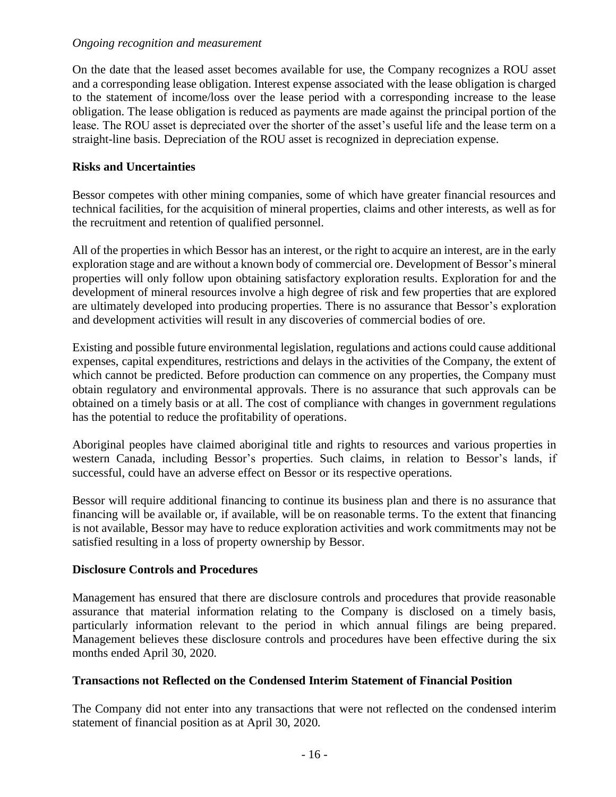### *Ongoing recognition and measurement*

On the date that the leased asset becomes available for use, the Company recognizes a ROU asset and a corresponding lease obligation. Interest expense associated with the lease obligation is charged to the statement of income/loss over the lease period with a corresponding increase to the lease obligation. The lease obligation is reduced as payments are made against the principal portion of the lease. The ROU asset is depreciated over the shorter of the asset's useful life and the lease term on a straight-line basis. Depreciation of the ROU asset is recognized in depreciation expense.

## **Risks and Uncertainties**

Bessor competes with other mining companies, some of which have greater financial resources and technical facilities, for the acquisition of mineral properties, claims and other interests, as well as for the recruitment and retention of qualified personnel.

All of the properties in which Bessor has an interest, or the right to acquire an interest, are in the early exploration stage and are without a known body of commercial ore. Development of Bessor's mineral properties will only follow upon obtaining satisfactory exploration results. Exploration for and the development of mineral resources involve a high degree of risk and few properties that are explored are ultimately developed into producing properties. There is no assurance that Bessor's exploration and development activities will result in any discoveries of commercial bodies of ore.

Existing and possible future environmental legislation, regulations and actions could cause additional expenses, capital expenditures, restrictions and delays in the activities of the Company, the extent of which cannot be predicted. Before production can commence on any properties, the Company must obtain regulatory and environmental approvals. There is no assurance that such approvals can be obtained on a timely basis or at all. The cost of compliance with changes in government regulations has the potential to reduce the profitability of operations.

Aboriginal peoples have claimed aboriginal title and rights to resources and various properties in western Canada, including Bessor's properties. Such claims, in relation to Bessor's lands, if successful, could have an adverse effect on Bessor or its respective operations.

Bessor will require additional financing to continue its business plan and there is no assurance that financing will be available or, if available, will be on reasonable terms. To the extent that financing is not available, Bessor may have to reduce exploration activities and work commitments may not be satisfied resulting in a loss of property ownership by Bessor.

### **Disclosure Controls and Procedures**

Management has ensured that there are disclosure controls and procedures that provide reasonable assurance that material information relating to the Company is disclosed on a timely basis, particularly information relevant to the period in which annual filings are being prepared. Management believes these disclosure controls and procedures have been effective during the six months ended April 30, 2020.

### **Transactions not Reflected on the Condensed Interim Statement of Financial Position**

The Company did not enter into any transactions that were not reflected on the condensed interim statement of financial position as at April 30, 2020.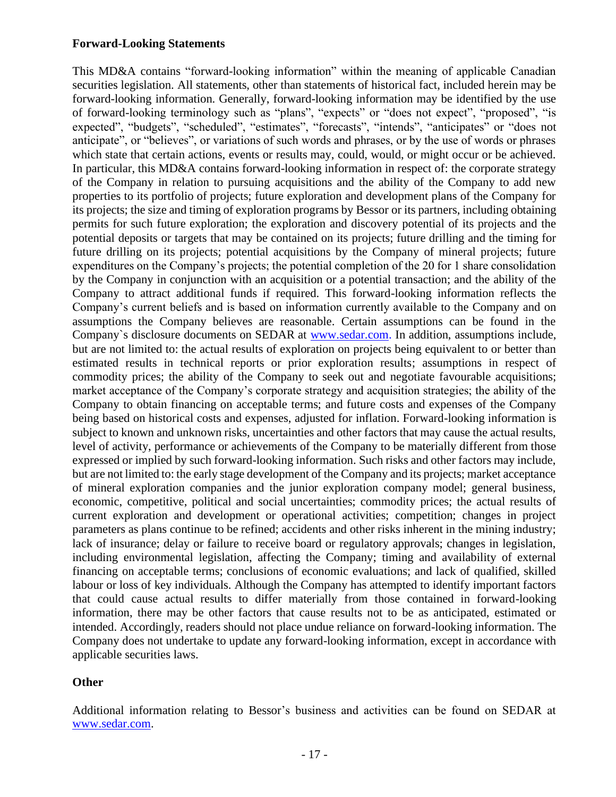## **Forward-Looking Statements**

This MD&A contains "forward-looking information" within the meaning of applicable Canadian securities legislation. All statements, other than statements of historical fact, included herein may be forward-looking information. Generally, forward-looking information may be identified by the use of forward-looking terminology such as "plans", "expects" or "does not expect", "proposed", "is expected", "budgets", "scheduled", "estimates", "forecasts", "intends", "anticipates" or "does not anticipate", or "believes", or variations of such words and phrases, or by the use of words or phrases which state that certain actions, events or results may, could, would, or might occur or be achieved. In particular, this MD&A contains forward-looking information in respect of: the corporate strategy of the Company in relation to pursuing acquisitions and the ability of the Company to add new properties to its portfolio of projects; future exploration and development plans of the Company for its projects; the size and timing of exploration programs by Bessor or its partners, including obtaining permits for such future exploration; the exploration and discovery potential of its projects and the potential deposits or targets that may be contained on its projects; future drilling and the timing for future drilling on its projects; potential acquisitions by the Company of mineral projects; future expenditures on the Company's projects; the potential completion of the 20 for 1 share consolidation by the Company in conjunction with an acquisition or a potential transaction; and the ability of the Company to attract additional funds if required. This forward-looking information reflects the Company's current beliefs and is based on information currently available to the Company and on assumptions the Company believes are reasonable. Certain assumptions can be found in the Company's disclosure documents on SEDAR at [www.sedar.com.](http://www.sedar.com/) In addition, assumptions include, but are not limited to: the actual results of exploration on projects being equivalent to or better than estimated results in technical reports or prior exploration results; assumptions in respect of commodity prices; the ability of the Company to seek out and negotiate favourable acquisitions; market acceptance of the Company's corporate strategy and acquisition strategies; the ability of the Company to obtain financing on acceptable terms; and future costs and expenses of the Company being based on historical costs and expenses, adjusted for inflation. Forward-looking information is subject to known and unknown risks, uncertainties and other factors that may cause the actual results, level of activity, performance or achievements of the Company to be materially different from those expressed or implied by such forward-looking information. Such risks and other factors may include, but are not limited to: the early stage development of the Company and its projects; market acceptance of mineral exploration companies and the junior exploration company model; general business, economic, competitive, political and social uncertainties; commodity prices; the actual results of current exploration and development or operational activities; competition; changes in project parameters as plans continue to be refined; accidents and other risks inherent in the mining industry; lack of insurance; delay or failure to receive board or regulatory approvals; changes in legislation, including environmental legislation, affecting the Company; timing and availability of external financing on acceptable terms; conclusions of economic evaluations; and lack of qualified, skilled labour or loss of key individuals. Although the Company has attempted to identify important factors that could cause actual results to differ materially from those contained in forward-looking information, there may be other factors that cause results not to be as anticipated, estimated or intended. Accordingly, readers should not place undue reliance on forward-looking information. The Company does not undertake to update any forward-looking information, except in accordance with applicable securities laws.

# **Other**

Additional information relating to Bessor's business and activities can be found on SEDAR at [www.sedar.com.](http://www.sedar.com/)